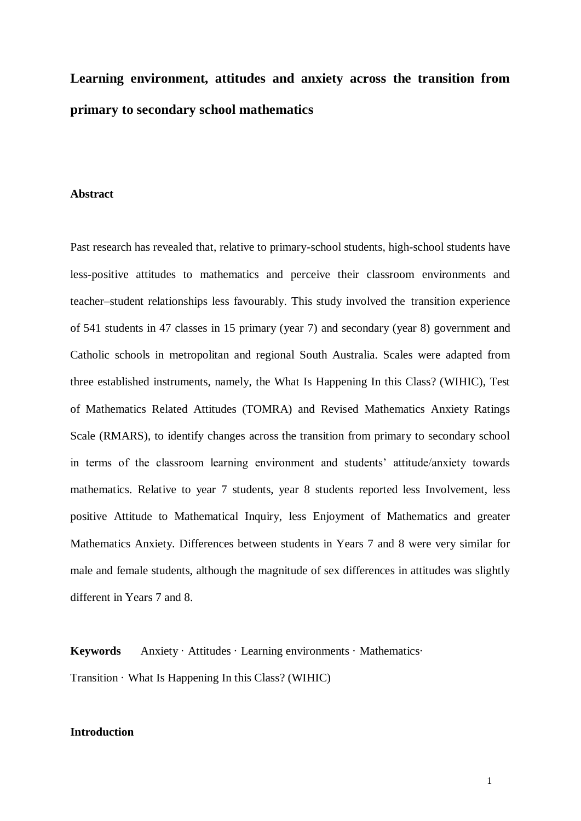# **Learning environment, attitudes and anxiety across the transition from primary to secondary school mathematics**

#### **Abstract**

Past research has revealed that, relative to primary-school students, high-school students have less-positive attitudes to mathematics and perceive their classroom environments and teacher–student relationships less favourably. This study involved the transition experience of 541 students in 47 classes in 15 primary (year 7) and secondary (year 8) government and Catholic schools in metropolitan and regional South Australia. Scales were adapted from three established instruments, namely, the What Is Happening In this Class? (WIHIC), Test of Mathematics Related Attitudes (TOMRA) and Revised Mathematics Anxiety Ratings Scale (RMARS), to identify changes across the transition from primary to secondary school in terms of the classroom learning environment and students' attitude/anxiety towards mathematics. Relative to year 7 students, year 8 students reported less Involvement, less positive Attitude to Mathematical Inquiry, less Enjoyment of Mathematics and greater Mathematics Anxiety. Differences between students in Years 7 and 8 were very similar for male and female students, although the magnitude of sex differences in attitudes was slightly different in Years 7 and 8.

**Keywords** Anxiety · Attitudes · Learning environments · Mathematics· Transition · What Is Happening In this Class? (WIHIC)

# **Introduction**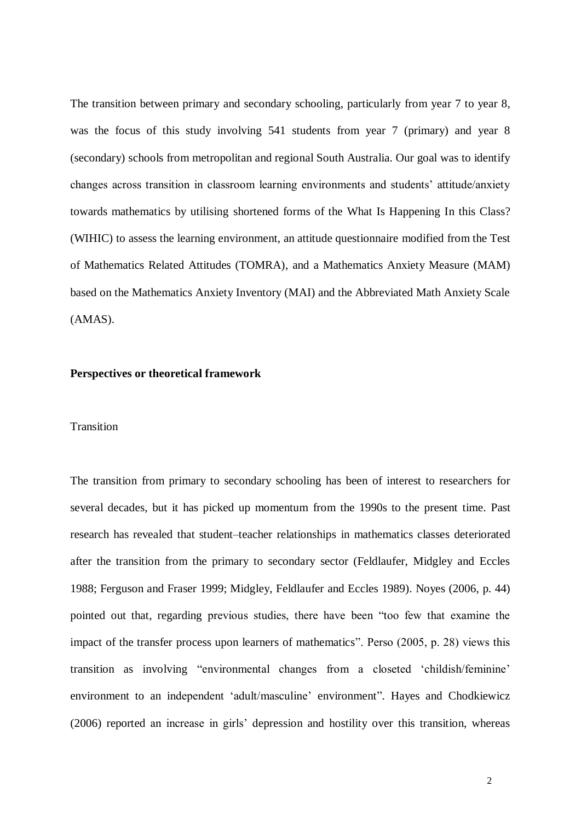The transition between primary and secondary schooling, particularly from year 7 to year 8, was the focus of this study involving 541 students from year 7 (primary) and year 8 (secondary) schools from metropolitan and regional South Australia. Our goal was to identify changes across transition in classroom learning environments and students' attitude/anxiety towards mathematics by utilising shortened forms of the What Is Happening In this Class? (WIHIC) to assess the learning environment, an attitude questionnaire modified from the Test of Mathematics Related Attitudes (TOMRA), and a Mathematics Anxiety Measure (MAM) based on the Mathematics Anxiety Inventory (MAI) and the Abbreviated Math Anxiety Scale (AMAS).

## **Perspectives or theoretical framework**

#### Transition

The transition from primary to secondary schooling has been of interest to researchers for several decades, but it has picked up momentum from the 1990s to the present time. Past research has revealed that student–teacher relationships in mathematics classes deteriorated after the transition from the primary to secondary sector (Feldlaufer, Midgley and Eccles 1988; Ferguson and Fraser 1999; Midgley, Feldlaufer and Eccles 1989). Noyes (2006, p. 44) pointed out that, regarding previous studies, there have been "too few that examine the impact of the transfer process upon learners of mathematics". Perso (2005, p. 28) views this transition as involving "environmental changes from a closeted 'childish/feminine' environment to an independent 'adult/masculine' environment". Hayes and Chodkiewicz (2006) reported an increase in girls' depression and hostility over this transition, whereas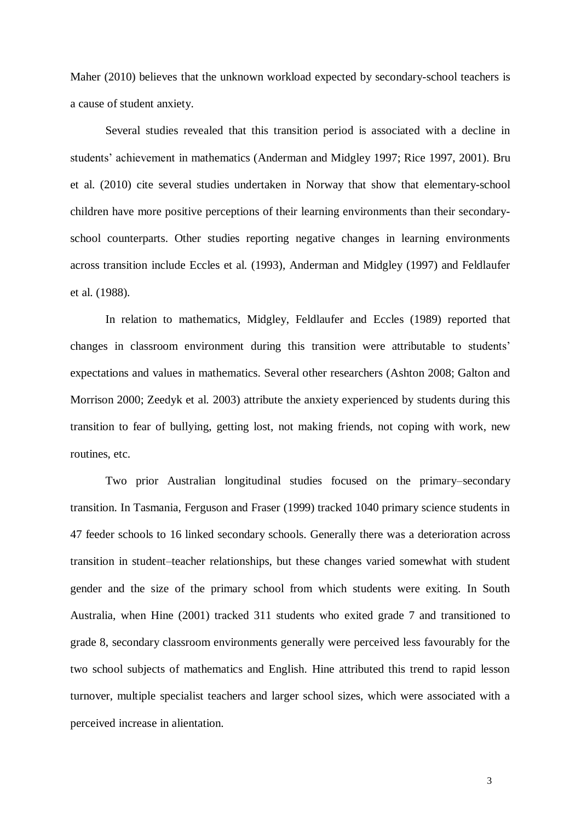Maher (2010) believes that the unknown workload expected by secondary-school teachers is a cause of student anxiety.

Several studies revealed that this transition period is associated with a decline in students' achievement in mathematics (Anderman and Midgley 1997; Rice 1997, 2001). Bru et al. (2010) cite several studies undertaken in Norway that show that elementary-school children have more positive perceptions of their learning environments than their secondaryschool counterparts. Other studies reporting negative changes in learning environments across transition include Eccles et al. (1993), Anderman and Midgley (1997) and Feldlaufer et al. (1988).

In relation to mathematics, Midgley, Feldlaufer and Eccles (1989) reported that changes in classroom environment during this transition were attributable to students' expectations and values in mathematics. Several other researchers (Ashton 2008; Galton and Morrison 2000; Zeedyk et al. 2003) attribute the anxiety experienced by students during this transition to fear of bullying, getting lost, not making friends, not coping with work, new routines, etc.

Two prior Australian longitudinal studies focused on the primary–secondary transition. In Tasmania, Ferguson and Fraser (1999) tracked 1040 primary science students in 47 feeder schools to 16 linked secondary schools. Generally there was a deterioration across transition in student–teacher relationships, but these changes varied somewhat with student gender and the size of the primary school from which students were exiting. In South Australia, when Hine (2001) tracked 311 students who exited grade 7 and transitioned to grade 8, secondary classroom environments generally were perceived less favourably for the two school subjects of mathematics and English. Hine attributed this trend to rapid lesson turnover, multiple specialist teachers and larger school sizes, which were associated with a perceived increase in alientation.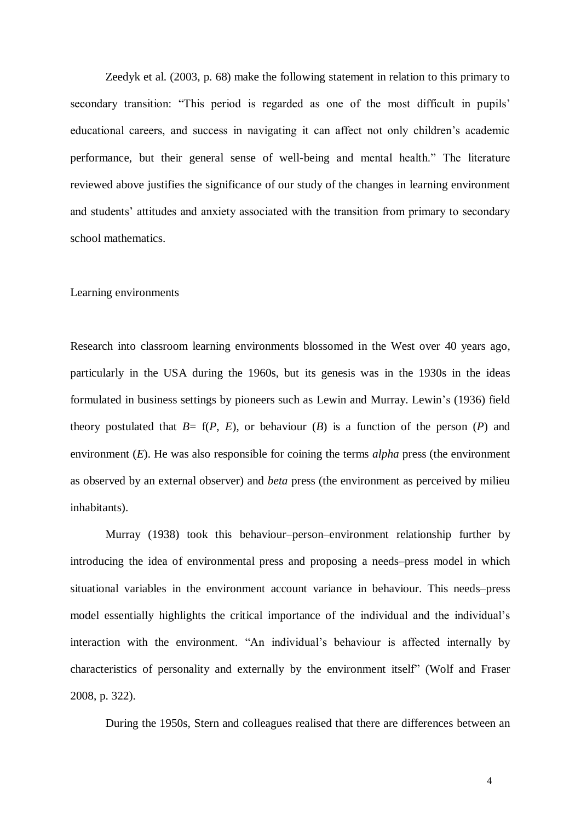Zeedyk et al. (2003, p. 68) make the following statement in relation to this primary to secondary transition: "This period is regarded as one of the most difficult in pupils' educational careers, and success in navigating it can affect not only children's academic performance, but their general sense of well-being and mental health." The literature reviewed above justifies the significance of our study of the changes in learning environment and students' attitudes and anxiety associated with the transition from primary to secondary school mathematics.

#### Learning environments

Research into classroom learning environments blossomed in the West over 40 years ago, particularly in the USA during the 1960s, but its genesis was in the 1930s in the ideas formulated in business settings by pioneers such as Lewin and Murray. Lewin's (1936) field theory postulated that  $B = f(P, E)$ , or behaviour  $(B)$  is a function of the person  $(P)$  and environment (*E*). He was also responsible for coining the terms *alpha* press (the environment as observed by an external observer) and *beta* press (the environment as perceived by milieu inhabitants).

Murray (1938) took this behaviour–person–environment relationship further by introducing the idea of environmental press and proposing a needs–press model in which situational variables in the environment account variance in behaviour. This needs–press model essentially highlights the critical importance of the individual and the individual's interaction with the environment. "An individual's behaviour is affected internally by characteristics of personality and externally by the environment itself" (Wolf and Fraser 2008, p. 322).

During the 1950s, Stern and colleagues realised that there are differences between an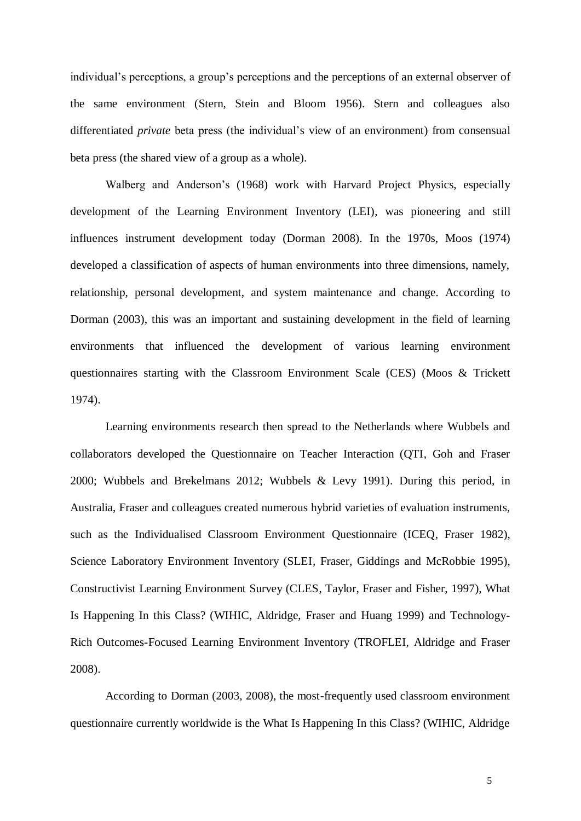individual's perceptions, a group's perceptions and the perceptions of an external observer of the same environment (Stern, Stein and Bloom 1956). Stern and colleagues also differentiated *private* beta press (the individual's view of an environment) from consensual beta press (the shared view of a group as a whole).

Walberg and Anderson's (1968) work with Harvard Project Physics, especially development of the Learning Environment Inventory (LEI), was pioneering and still influences instrument development today (Dorman 2008). In the 1970s, Moos (1974) developed a classification of aspects of human environments into three dimensions, namely, relationship, personal development, and system maintenance and change. According to Dorman (2003), this was an important and sustaining development in the field of learning environments that influenced the development of various learning environment questionnaires starting with the Classroom Environment Scale (CES) (Moos & Trickett 1974).

Learning environments research then spread to the Netherlands where Wubbels and collaborators developed the Questionnaire on Teacher Interaction (QTI, Goh and Fraser 2000; Wubbels and Brekelmans 2012; Wubbels & Levy 1991). During this period, in Australia, Fraser and colleagues created numerous hybrid varieties of evaluation instruments, such as the Individualised Classroom Environment Questionnaire (ICEQ, Fraser 1982), Science Laboratory Environment Inventory (SLEI, Fraser, Giddings and McRobbie 1995), Constructivist Learning Environment Survey (CLES, Taylor, Fraser and Fisher, 1997), What Is Happening In this Class? (WIHIC, Aldridge, Fraser and Huang 1999) and Technology-Rich Outcomes-Focused Learning Environment Inventory (TROFLEI, Aldridge and Fraser 2008).

According to Dorman (2003, 2008), the most-frequently used classroom environment questionnaire currently worldwide is the What Is Happening In this Class? (WIHIC, Aldridge

5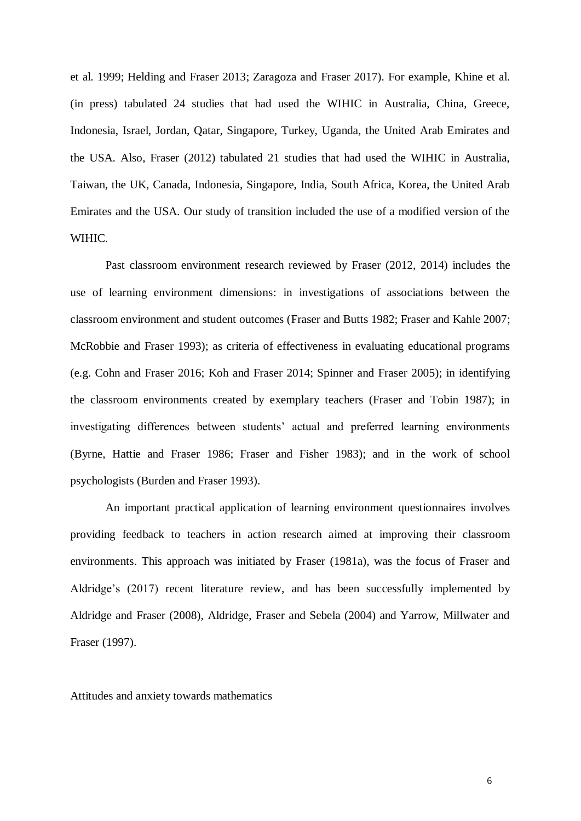et al. 1999; Helding and Fraser 2013; Zaragoza and Fraser 2017). For example, Khine et al. (in press) tabulated 24 studies that had used the WIHIC in Australia, China, Greece, Indonesia, Israel, Jordan, Qatar, Singapore, Turkey, Uganda, the United Arab Emirates and the USA. Also, Fraser (2012) tabulated 21 studies that had used the WIHIC in Australia, Taiwan, the UK, Canada, Indonesia, Singapore, India, South Africa, Korea, the United Arab Emirates and the USA. Our study of transition included the use of a modified version of the WIHIC.

Past classroom environment research reviewed by Fraser (2012, 2014) includes the use of learning environment dimensions: in investigations of associations between the classroom environment and student outcomes (Fraser and Butts 1982; Fraser and Kahle 2007; McRobbie and Fraser 1993); as criteria of effectiveness in evaluating educational programs (e.g. Cohn and Fraser 2016; Koh and Fraser 2014; Spinner and Fraser 2005); in identifying the classroom environments created by exemplary teachers (Fraser and Tobin 1987); in investigating differences between students' actual and preferred learning environments (Byrne, Hattie and Fraser 1986; Fraser and Fisher 1983); and in the work of school psychologists (Burden and Fraser 1993).

An important practical application of learning environment questionnaires involves providing feedback to teachers in action research aimed at improving their classroom environments. This approach was initiated by Fraser (1981a), was the focus of Fraser and Aldridge's (2017) recent literature review, and has been successfully implemented by Aldridge and Fraser (2008), Aldridge, Fraser and Sebela (2004) and Yarrow, Millwater and Fraser (1997).

Attitudes and anxiety towards mathematics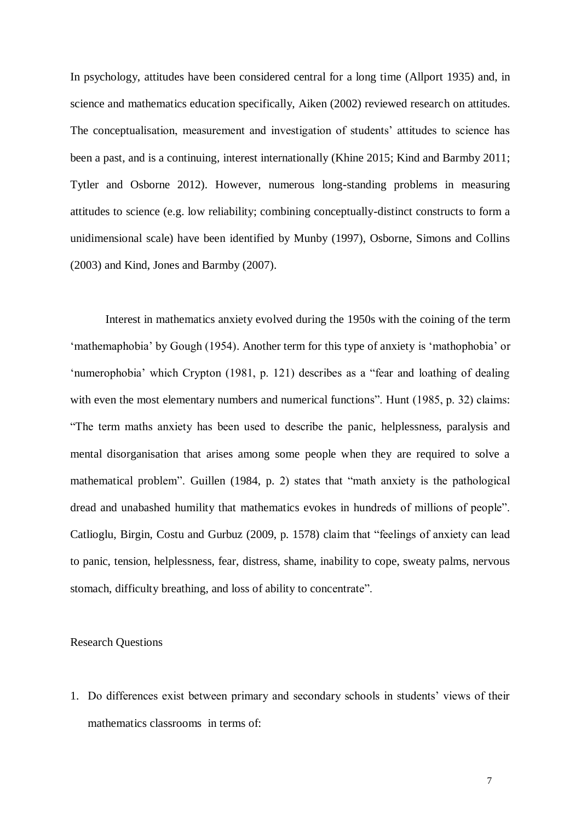In psychology, attitudes have been considered central for a long time (Allport 1935) and, in science and mathematics education specifically, Aiken (2002) reviewed research on attitudes. The conceptualisation, measurement and investigation of students' attitudes to science has been a past, and is a continuing, interest internationally (Khine 2015; Kind and Barmby 2011; Tytler and Osborne 2012). However, numerous long-standing problems in measuring attitudes to science (e.g. low reliability; combining conceptually-distinct constructs to form a unidimensional scale) have been identified by Munby (1997), Osborne, Simons and Collins (2003) and Kind, Jones and Barmby (2007).

Interest in mathematics anxiety evolved during the 1950s with the coining of the term 'mathemaphobia' by Gough (1954). Another term for this type of anxiety is 'mathophobia' or 'numerophobia' which Crypton (1981, p. 121) describes as a "fear and loathing of dealing with even the most elementary numbers and numerical functions". Hunt (1985, p. 32) claims: "The term maths anxiety has been used to describe the panic, helplessness, paralysis and mental disorganisation that arises among some people when they are required to solve a mathematical problem". Guillen (1984, p. 2) states that "math anxiety is the pathological dread and unabashed humility that mathematics evokes in hundreds of millions of people". Catlioglu, Birgin, Costu and Gurbuz (2009, p. 1578) claim that "feelings of anxiety can lead to panic, tension, helplessness, fear, distress, shame, inability to cope, sweaty palms, nervous stomach, difficulty breathing, and loss of ability to concentrate".

### Research Questions

1. Do differences exist between primary and secondary schools in students' views of their mathematics classrooms in terms of: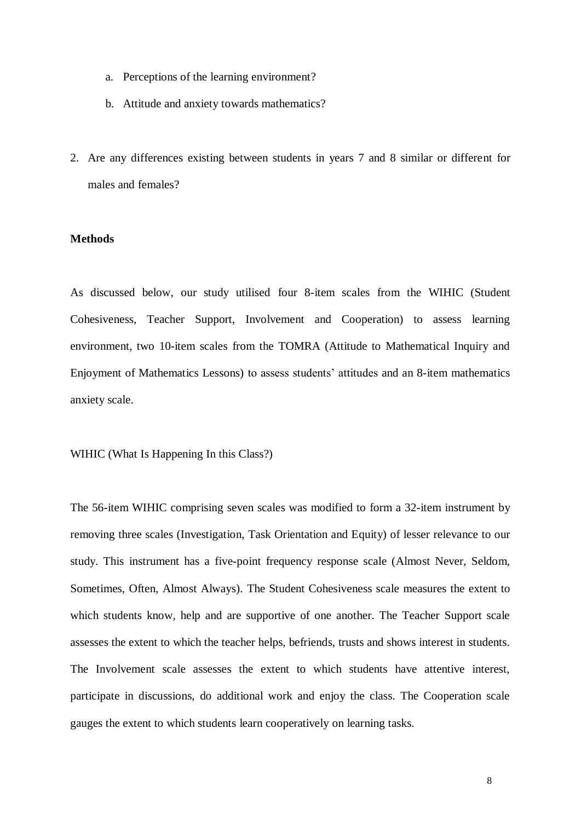- a. Perceptions of the learning environment?
- b. Attitude and anxiety towards mathematics?
- 2. Are any differences existing between students in years 7 and 8 similar or different for males and females?

# **Methods**

As discussed below, our study utilised four 8-item scales from the WIHIC (Student Cohesiveness, Teacher Support, Involvement and Cooperation) to assess learning environment, two 10-item scales from the TOMRA (Attitude to Mathematical Inquiry and Enjoyment of Mathematics Lessons) to assess students' attitudes and an 8-item mathematics anxiety scale.

WIHIC (What Is Happening In this Class?)

The 56-item WIHIC comprising seven scales was modified to form a 32-item instrument by removing three scales (Investigation, Task Orientation and Equity) of lesser relevance to our study. This instrument has a five-point frequency response scale (Almost Never, Seldom, Sometimes, Often, Almost Always). The Student Cohesiveness scale measures the extent to which students know, help and are supportive of one another. The Teacher Support scale assesses the extent to which the teacher helps, befriends, trusts and shows interest in students. The Involvement scale assesses the extent to which students have attentive interest, participate in discussions, do additional work and enjoy the class. The Cooperation scale gauges the extent to which students learn cooperatively on learning tasks.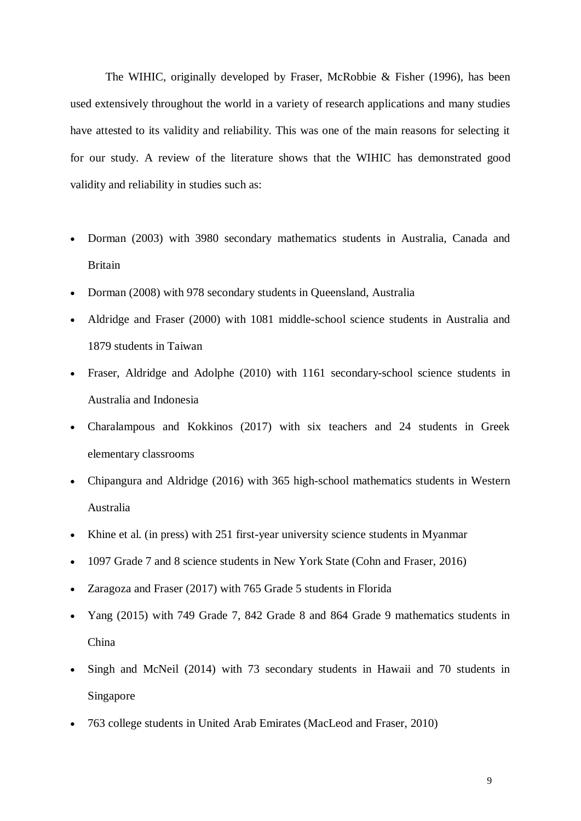The WIHIC, originally developed by Fraser, McRobbie & Fisher (1996), has been used extensively throughout the world in a variety of research applications and many studies have attested to its validity and reliability. This was one of the main reasons for selecting it for our study. A review of the literature shows that the WIHIC has demonstrated good validity and reliability in studies such as:

- Dorman (2003) with 3980 secondary mathematics students in Australia, Canada and Britain
- Dorman (2008) with 978 secondary students in Queensland, Australia
- Aldridge and Fraser (2000) with 1081 middle-school science students in Australia and 1879 students in Taiwan
- Fraser, Aldridge and Adolphe (2010) with 1161 secondary-school science students in Australia and Indonesia
- Charalampous and Kokkinos (2017) with six teachers and 24 students in Greek elementary classrooms
- Chipangura and Aldridge (2016) with 365 high-school mathematics students in Western Australia
- Khine et al. (in press) with 251 first-year university science students in Myanmar
- 1097 Grade 7 and 8 science students in New York State (Cohn and Fraser, 2016)
- Zaragoza and Fraser (2017) with 765 Grade 5 students in Florida
- Yang (2015) with 749 Grade 7, 842 Grade 8 and 864 Grade 9 mathematics students in China
- Singh and McNeil (2014) with 73 secondary students in Hawaii and 70 students in Singapore
- 763 college students in United Arab Emirates (MacLeod and Fraser, 2010)

9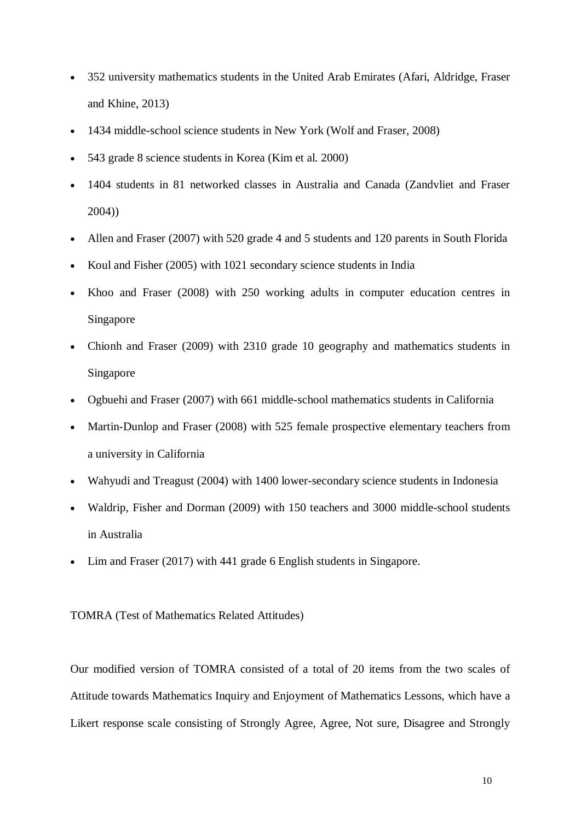- 352 university mathematics students in the United Arab Emirates (Afari, Aldridge, Fraser and Khine, 2013)
- 1434 middle-school science students in New York (Wolf and Fraser, 2008)
- 543 grade 8 science students in Korea (Kim et al. 2000)
- 1404 students in 81 networked classes in Australia and Canada (Zandvliet and Fraser 2004))
- Allen and Fraser (2007) with 520 grade 4 and 5 students and 120 parents in South Florida
- Koul and Fisher (2005) with 1021 secondary science students in India
- Khoo and Fraser (2008) with 250 working adults in computer education centres in Singapore
- Chionh and Fraser (2009) with 2310 grade 10 geography and mathematics students in Singapore
- Ogbuehi and Fraser (2007) with 661 middle-school mathematics students in California
- Martin-Dunlop and Fraser (2008) with 525 female prospective elementary teachers from a university in California
- Wahyudi and Treagust (2004) with 1400 lower-secondary science students in Indonesia
- Waldrip, Fisher and Dorman (2009) with 150 teachers and 3000 middle-school students in Australia
- Lim and Fraser (2017) with 441 grade 6 English students in Singapore.

TOMRA (Test of Mathematics Related Attitudes)

Our modified version of TOMRA consisted of a total of 20 items from the two scales of Attitude towards Mathematics Inquiry and Enjoyment of Mathematics Lessons, which have a Likert response scale consisting of Strongly Agree, Agree, Not sure, Disagree and Strongly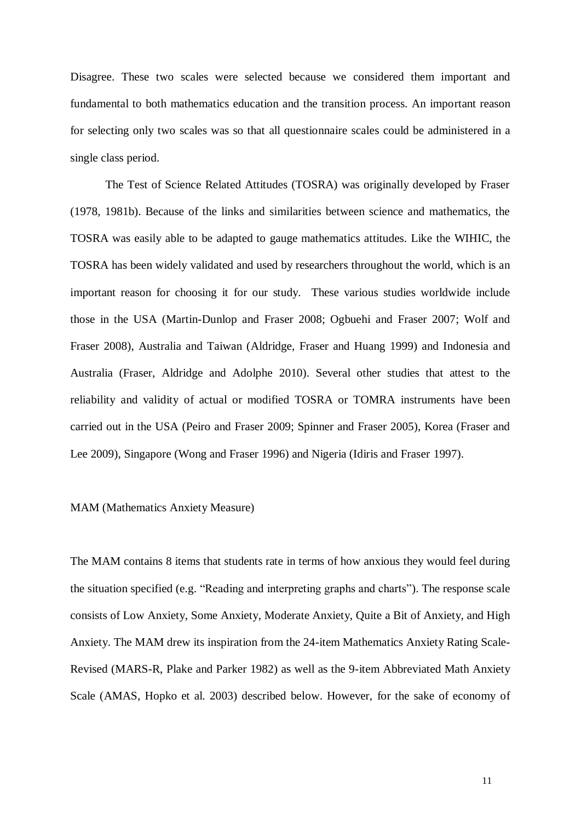Disagree. These two scales were selected because we considered them important and fundamental to both mathematics education and the transition process. An important reason for selecting only two scales was so that all questionnaire scales could be administered in a single class period.

The Test of Science Related Attitudes (TOSRA) was originally developed by Fraser (1978, 1981b). Because of the links and similarities between science and mathematics, the TOSRA was easily able to be adapted to gauge mathematics attitudes. Like the WIHIC, the TOSRA has been widely validated and used by researchers throughout the world, which is an important reason for choosing it for our study. These various studies worldwide include those in the USA (Martin-Dunlop and Fraser 2008; Ogbuehi and Fraser 2007; Wolf and Fraser 2008), Australia and Taiwan (Aldridge, Fraser and Huang 1999) and Indonesia and Australia (Fraser, Aldridge and Adolphe 2010). Several other studies that attest to the reliability and validity of actual or modified TOSRA or TOMRA instruments have been carried out in the USA (Peiro and Fraser 2009; Spinner and Fraser 2005), Korea (Fraser and Lee 2009), Singapore (Wong and Fraser 1996) and Nigeria (Idiris and Fraser 1997).

# MAM (Mathematics Anxiety Measure)

The MAM contains 8 items that students rate in terms of how anxious they would feel during the situation specified (e.g. "Reading and interpreting graphs and charts"). The response scale consists of Low Anxiety, Some Anxiety, Moderate Anxiety, Quite a Bit of Anxiety, and High Anxiety. The MAM drew its inspiration from the 24-item Mathematics Anxiety Rating Scale-Revised (MARS-R, Plake and Parker 1982) as well as the 9-item Abbreviated Math Anxiety Scale (AMAS, Hopko et al. 2003) described below. However, for the sake of economy of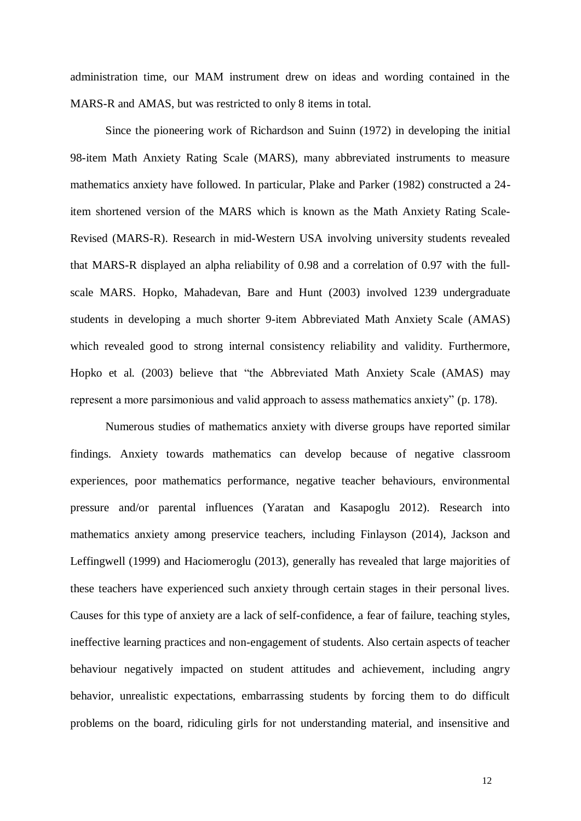administration time, our MAM instrument drew on ideas and wording contained in the MARS-R and AMAS, but was restricted to only 8 items in total.

Since the pioneering work of Richardson and Suinn (1972) in developing the initial 98-item Math Anxiety Rating Scale (MARS), many abbreviated instruments to measure mathematics anxiety have followed. In particular, Plake and Parker (1982) constructed a 24 item shortened version of the MARS which is known as the Math Anxiety Rating Scale-Revised (MARS-R). Research in mid-Western USA involving university students revealed that MARS-R displayed an alpha reliability of 0.98 and a correlation of 0.97 with the fullscale MARS. Hopko, Mahadevan, Bare and Hunt (2003) involved 1239 undergraduate students in developing a much shorter 9-item Abbreviated Math Anxiety Scale (AMAS) which revealed good to strong internal consistency reliability and validity. Furthermore, Hopko et al. (2003) believe that "the Abbreviated Math Anxiety Scale (AMAS) may represent a more parsimonious and valid approach to assess mathematics anxiety" (p. 178).

Numerous studies of mathematics anxiety with diverse groups have reported similar findings. Anxiety towards mathematics can develop because of negative classroom experiences, poor mathematics performance, negative teacher behaviours, environmental pressure and/or parental influences (Yaratan and Kasapoglu 2012). Research into mathematics anxiety among preservice teachers, including Finlayson (2014), Jackson and Leffingwell (1999) and Haciomeroglu (2013), generally has revealed that large majorities of these teachers have experienced such anxiety through certain stages in their personal lives. Causes for this type of anxiety are a lack of self-confidence, a fear of failure, teaching styles, ineffective learning practices and non-engagement of students. Also certain aspects of teacher behaviour negatively impacted on student attitudes and achievement, including angry behavior, unrealistic expectations, embarrassing students by forcing them to do difficult problems on the board, ridiculing girls for not understanding material, and insensitive and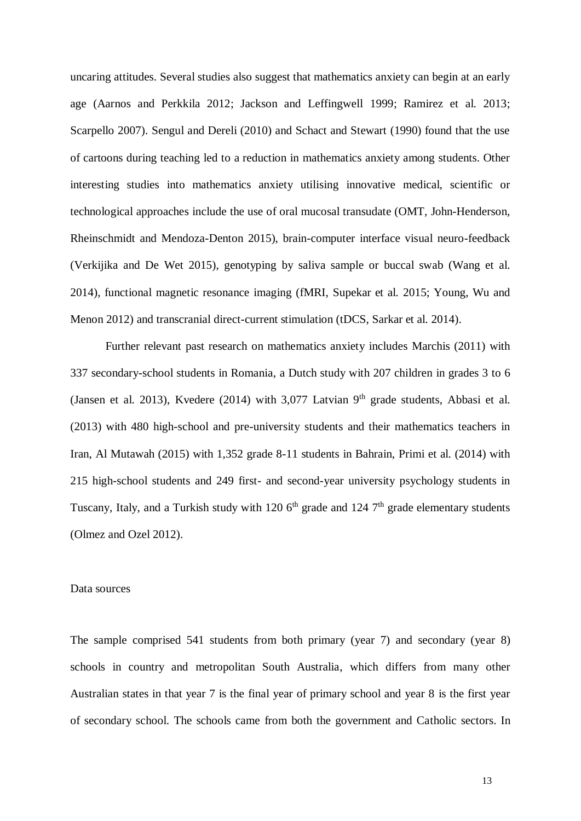uncaring attitudes. Several studies also suggest that mathematics anxiety can begin at an early age (Aarnos and Perkkila 2012; Jackson and Leffingwell 1999; Ramirez et al. 2013; Scarpello 2007). Sengul and Dereli (2010) and Schact and Stewart (1990) found that the use of cartoons during teaching led to a reduction in mathematics anxiety among students. Other interesting studies into mathematics anxiety utilising innovative medical, scientific or technological approaches include the use of oral mucosal transudate (OMT, John-Henderson, Rheinschmidt and Mendoza-Denton 2015), brain-computer interface visual neuro-feedback (Verkijika and De Wet 2015), genotyping by saliva sample or buccal swab (Wang et al. 2014), functional magnetic resonance imaging (fMRI, Supekar et al. 2015; Young, Wu and Menon 2012) and transcranial direct-current stimulation (tDCS, Sarkar et al. 2014).

Further relevant past research on mathematics anxiety includes Marchis (2011) with 337 secondary-school students in Romania, a Dutch study with 207 children in grades 3 to 6 (Jansen et al. 2013), Kvedere (2014) with  $3,077$  Latvian  $9<sup>th</sup>$  grade students, Abbasi et al. (2013) with 480 high-school and pre-university students and their mathematics teachers in Iran, Al Mutawah (2015) with 1,352 grade 8-11 students in Bahrain, Primi et al. (2014) with 215 high-school students and 249 first- and second-year university psychology students in Tuscany, Italy, and a Turkish study with 120  $6<sup>th</sup>$  grade and 124  $7<sup>th</sup>$  grade elementary students (Olmez and Ozel 2012).

#### Data sources

The sample comprised 541 students from both primary (year 7) and secondary (year 8) schools in country and metropolitan South Australia, which differs from many other Australian states in that year 7 is the final year of primary school and year 8 is the first year of secondary school. The schools came from both the government and Catholic sectors. In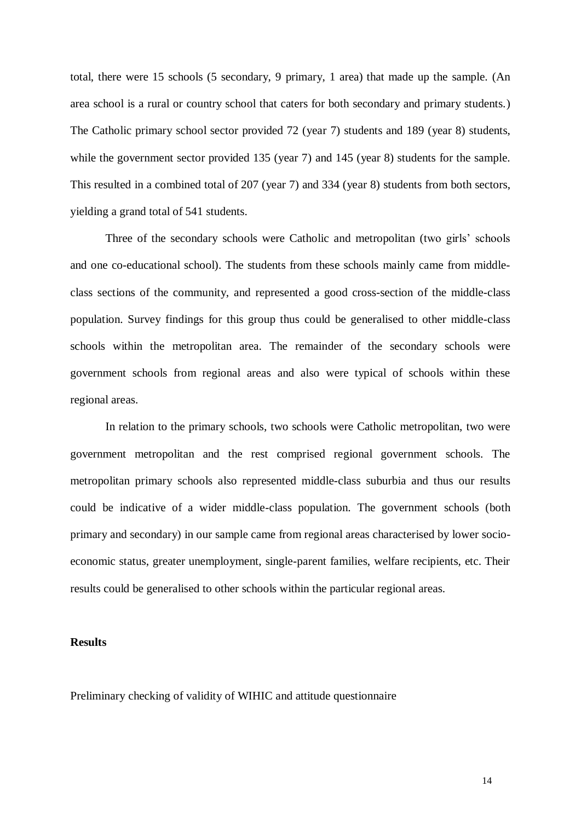total, there were 15 schools (5 secondary, 9 primary, 1 area) that made up the sample. (An area school is a rural or country school that caters for both secondary and primary students.) The Catholic primary school sector provided 72 (year 7) students and 189 (year 8) students, while the government sector provided 135 (year 7) and 145 (year 8) students for the sample. This resulted in a combined total of 207 (year 7) and 334 (year 8) students from both sectors, yielding a grand total of 541 students.

Three of the secondary schools were Catholic and metropolitan (two girls' schools and one co-educational school). The students from these schools mainly came from middleclass sections of the community, and represented a good cross-section of the middle-class population. Survey findings for this group thus could be generalised to other middle-class schools within the metropolitan area. The remainder of the secondary schools were government schools from regional areas and also were typical of schools within these regional areas.

In relation to the primary schools, two schools were Catholic metropolitan, two were government metropolitan and the rest comprised regional government schools. The metropolitan primary schools also represented middle-class suburbia and thus our results could be indicative of a wider middle-class population. The government schools (both primary and secondary) in our sample came from regional areas characterised by lower socioeconomic status, greater unemployment, single-parent families, welfare recipients, etc. Their results could be generalised to other schools within the particular regional areas.

# **Results**

Preliminary checking of validity of WIHIC and attitude questionnaire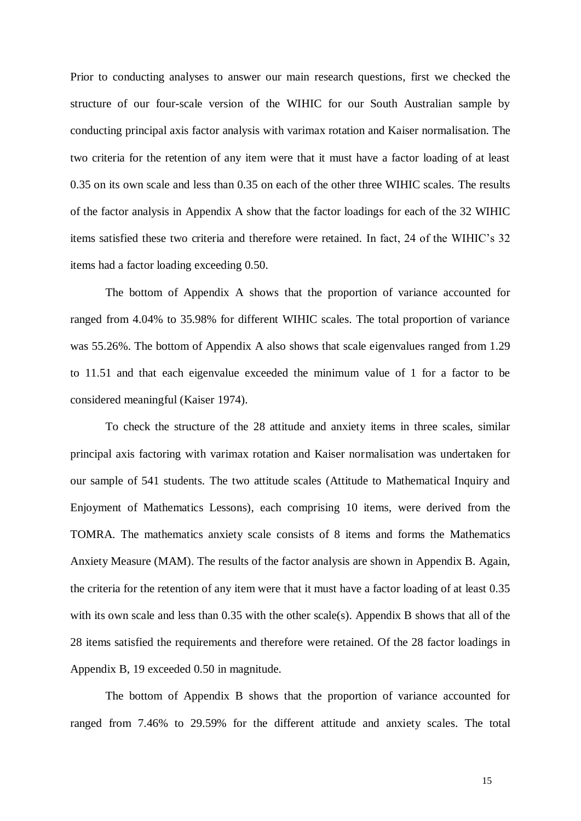Prior to conducting analyses to answer our main research questions, first we checked the structure of our four-scale version of the WIHIC for our South Australian sample by conducting principal axis factor analysis with varimax rotation and Kaiser normalisation. The two criteria for the retention of any item were that it must have a factor loading of at least 0.35 on its own scale and less than 0.35 on each of the other three WIHIC scales. The results of the factor analysis in Appendix A show that the factor loadings for each of the 32 WIHIC items satisfied these two criteria and therefore were retained. In fact, 24 of the WIHIC's 32 items had a factor loading exceeding 0.50.

The bottom of Appendix A shows that the proportion of variance accounted for ranged from 4.04% to 35.98% for different WIHIC scales. The total proportion of variance was 55.26%. The bottom of Appendix A also shows that scale eigenvalues ranged from 1.29 to 11.51 and that each eigenvalue exceeded the minimum value of 1 for a factor to be considered meaningful (Kaiser 1974).

To check the structure of the 28 attitude and anxiety items in three scales, similar principal axis factoring with varimax rotation and Kaiser normalisation was undertaken for our sample of 541 students. The two attitude scales (Attitude to Mathematical Inquiry and Enjoyment of Mathematics Lessons), each comprising 10 items, were derived from the TOMRA. The mathematics anxiety scale consists of 8 items and forms the Mathematics Anxiety Measure (MAM). The results of the factor analysis are shown in Appendix B. Again, the criteria for the retention of any item were that it must have a factor loading of at least 0.35 with its own scale and less than 0.35 with the other scale(s). Appendix B shows that all of the 28 items satisfied the requirements and therefore were retained. Of the 28 factor loadings in Appendix B, 19 exceeded 0.50 in magnitude.

The bottom of Appendix B shows that the proportion of variance accounted for ranged from 7.46% to 29.59% for the different attitude and anxiety scales. The total

15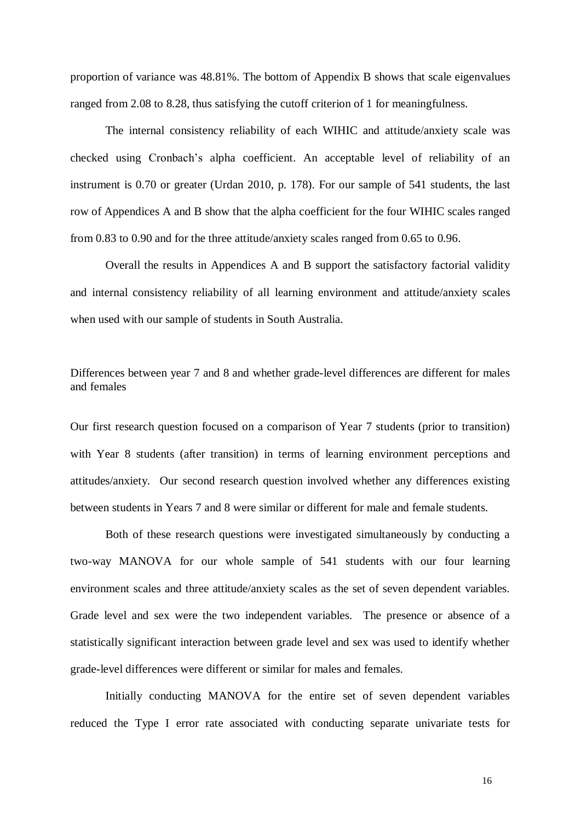proportion of variance was 48.81%. The bottom of Appendix B shows that scale eigenvalues ranged from 2.08 to 8.28, thus satisfying the cutoff criterion of 1 for meaningfulness.

The internal consistency reliability of each WIHIC and attitude/anxiety scale was checked using Cronbach's alpha coefficient. An acceptable level of reliability of an instrument is 0.70 or greater (Urdan 2010, p. 178). For our sample of 541 students, the last row of Appendices A and B show that the alpha coefficient for the four WIHIC scales ranged from 0.83 to 0.90 and for the three attitude/anxiety scales ranged from 0.65 to 0.96.

Overall the results in Appendices A and B support the satisfactory factorial validity and internal consistency reliability of all learning environment and attitude/anxiety scales when used with our sample of students in South Australia.

# Differences between year 7 and 8 and whether grade-level differences are different for males and females

Our first research question focused on a comparison of Year 7 students (prior to transition) with Year 8 students (after transition) in terms of learning environment perceptions and attitudes/anxiety. Our second research question involved whether any differences existing between students in Years 7 and 8 were similar or different for male and female students.

Both of these research questions were investigated simultaneously by conducting a two-way MANOVA for our whole sample of 541 students with our four learning environment scales and three attitude/anxiety scales as the set of seven dependent variables. Grade level and sex were the two independent variables. The presence or absence of a statistically significant interaction between grade level and sex was used to identify whether grade-level differences were different or similar for males and females.

Initially conducting MANOVA for the entire set of seven dependent variables reduced the Type I error rate associated with conducting separate univariate tests for

16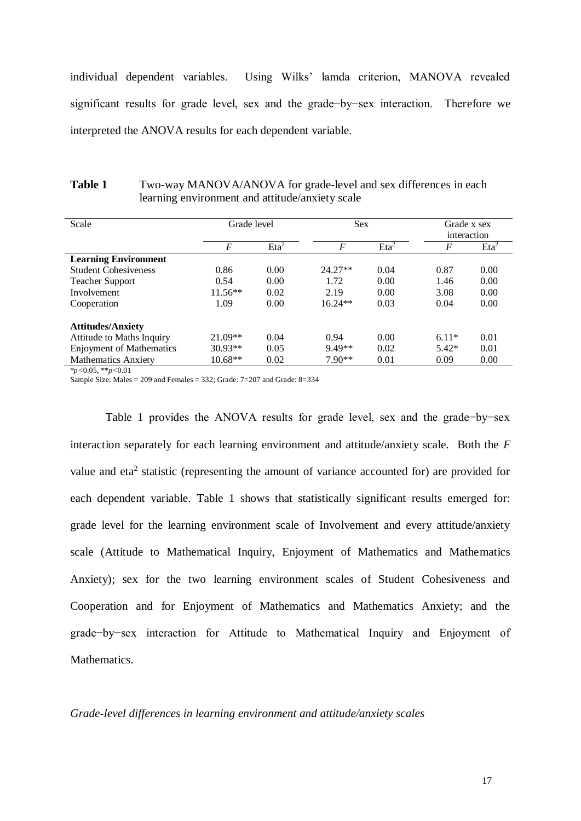individual dependent variables. Using Wilks' lamda criterion, MANOVA revealed significant results for grade level, sex and the grade−by−sex interaction. Therefore we interpreted the ANOVA results for each dependent variable.

| <b>Table 1</b> | Two-way MANOVA/ANOVA for grade-level and sex differences in each |
|----------------|------------------------------------------------------------------|
|                | learning environment and attitude/anxiety scale                  |

| Scale                           | Grade level    |                  | <b>Sex</b>       |                  | Grade x sex<br>interaction |                  |
|---------------------------------|----------------|------------------|------------------|------------------|----------------------------|------------------|
|                                 | $\overline{F}$ | Eta <sup>2</sup> | $\boldsymbol{F}$ | Eta <sup>2</sup> | F                          | Eta <sup>2</sup> |
| <b>Learning Environment</b>     |                |                  |                  |                  |                            |                  |
| <b>Student Cohesiveness</b>     | 0.86           | 0.00             | $24.27**$        | 0.04             | 0.87                       | 0.00             |
| <b>Teacher Support</b>          | 0.54           | 0.00             | 1.72             | 0.00             | 1.46                       | 0.00             |
| Involvement                     | $11.56**$      | 0.02             | 2.19             | 0.00             | 3.08                       | 0.00             |
| Cooperation                     | 1.09           | 0.00             | $16.24**$        | 0.03             | 0.04                       | 0.00             |
| <b>Attitudes/Anxiety</b>        |                |                  |                  |                  |                            |                  |
| Attitude to Maths Inquiry       | $21.09**$      | 0.04             | 0.94             | 0.00             | $6.11*$                    | 0.01             |
| <b>Enjoyment of Mathematics</b> | $30.93**$      | 0.05             | 9.49**           | 0.02             | $5.42*$                    | 0.01             |
| <b>Mathematics Anxiety</b>      | $10.68**$      | 0.02             | $7.90**$         | 0.01             | 0.09                       | 0.00             |

\**p<*0.05, \*\**p<*0.01

Sample Size: Males = 209 and Females = 332; Grade: 7=207 and Grade: 8=334

Table 1 provides the ANOVA results for grade level, sex and the grade-by-sex interaction separately for each learning environment and attitude/anxiety scale. Both the *F* value and eta<sup>2</sup> statistic (representing the amount of variance accounted for) are provided for each dependent variable. Table 1 shows that statistically significant results emerged for: grade level for the learning environment scale of Involvement and every attitude/anxiety scale (Attitude to Mathematical Inquiry, Enjoyment of Mathematics and Mathematics Anxiety); sex for the two learning environment scales of Student Cohesiveness and Cooperation and for Enjoyment of Mathematics and Mathematics Anxiety; and the grade−by−sex interaction for Attitude to Mathematical Inquiry and Enjoyment of Mathematics.

#### *Grade-level differences in learning environment and attitude/anxiety scales*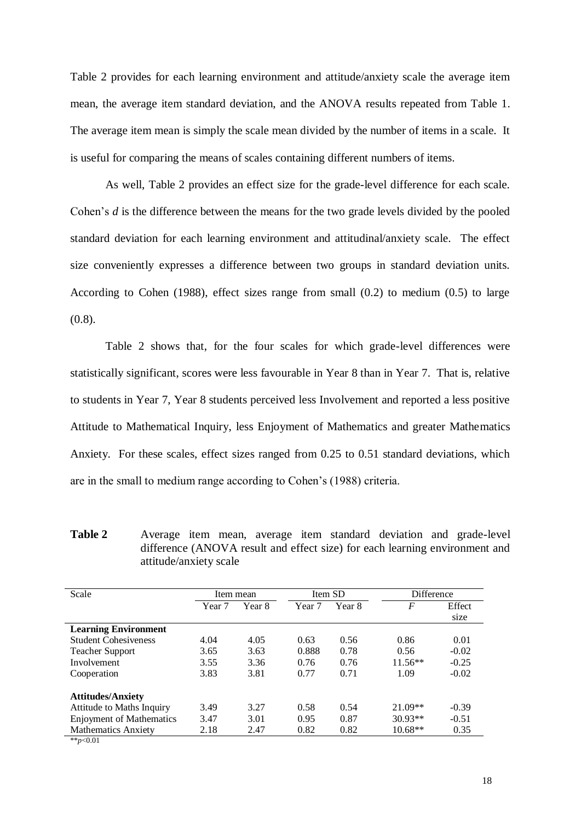Table 2 provides for each learning environment and attitude/anxiety scale the average item mean, the average item standard deviation, and the ANOVA results repeated from Table 1. The average item mean is simply the scale mean divided by the number of items in a scale. It is useful for comparing the means of scales containing different numbers of items.

As well, Table 2 provides an effect size for the grade-level difference for each scale. Cohen's *d* is the difference between the means for the two grade levels divided by the pooled standard deviation for each learning environment and attitudinal/anxiety scale. The effect size conveniently expresses a difference between two groups in standard deviation units. According to Cohen (1988), effect sizes range from small (0.2) to medium (0.5) to large (0.8).

Table 2 shows that, for the four scales for which grade-level differences were statistically significant, scores were less favourable in Year 8 than in Year 7. That is, relative to students in Year 7, Year 8 students perceived less Involvement and reported a less positive Attitude to Mathematical Inquiry, less Enjoyment of Mathematics and greater Mathematics Anxiety. For these scales, effect sizes ranged from 0.25 to 0.51 standard deviations, which are in the small to medium range according to Cohen's (1988) criteria.

**Table 2** Average item mean, average item standard deviation and grade-level difference (ANOVA result and effect size) for each learning environment and attitude/anxiety scale

| Scale                           | Item mean |        | Item SD |        | <b>Difference</b> |         |
|---------------------------------|-----------|--------|---------|--------|-------------------|---------|
|                                 | Year 7    | Year 8 | Year 7  | Year 8 | F                 | Effect  |
|                                 |           |        |         |        |                   | size    |
| <b>Learning Environment</b>     |           |        |         |        |                   |         |
| <b>Student Cohesiveness</b>     | 4.04      | 4.05   | 0.63    | 0.56   | 0.86              | 0.01    |
| <b>Teacher Support</b>          | 3.65      | 3.63   | 0.888   | 0.78   | 0.56              | $-0.02$ |
| Involvement                     | 3.55      | 3.36   | 0.76    | 0.76   | $11.56**$         | $-0.25$ |
| Cooperation                     | 3.83      | 3.81   | 0.77    | 0.71   | 1.09              | $-0.02$ |
| <b>Attitudes/Anxiety</b>        |           |        |         |        |                   |         |
| Attitude to Maths Inquiry       | 3.49      | 3.27   | 0.58    | 0.54   | $21.09**$         | $-0.39$ |
| <b>Enjoyment of Mathematics</b> | 3.47      | 3.01   | 0.95    | 0.87   | $30.93**$         | $-0.51$ |
| <b>Mathematics Anxiety</b>      | 2.18      | 2.47   | 0.82    | 0.82   | $10.68**$         | 0.35    |
| ** $p<0.01$                     |           |        |         |        |                   |         |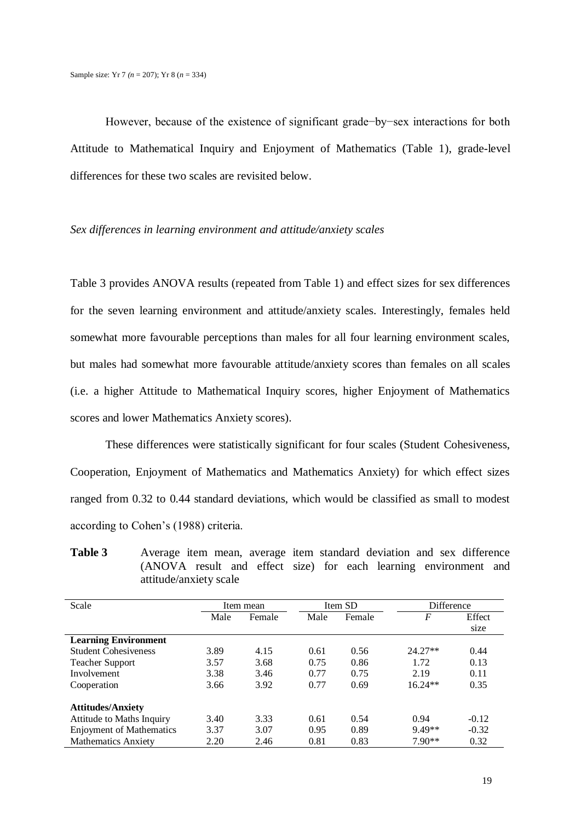However, because of the existence of significant grade−by−sex interactions for both Attitude to Mathematical Inquiry and Enjoyment of Mathematics (Table 1), grade-level differences for these two scales are revisited below.

## *Sex differences in learning environment and attitude/anxiety scales*

Table 3 provides ANOVA results (repeated from Table 1) and effect sizes for sex differences for the seven learning environment and attitude/anxiety scales. Interestingly, females held somewhat more favourable perceptions than males for all four learning environment scales, but males had somewhat more favourable attitude/anxiety scores than females on all scales (i.e. a higher Attitude to Mathematical Inquiry scores, higher Enjoyment of Mathematics scores and lower Mathematics Anxiety scores).

These differences were statistically significant for four scales (Student Cohesiveness, Cooperation, Enjoyment of Mathematics and Mathematics Anxiety) for which effect sizes ranged from 0.32 to 0.44 standard deviations, which would be classified as small to modest according to Cohen's (1988) criteria.

**Table 3** Average item mean, average item standard deviation and sex difference (ANOVA result and effect size) for each learning environment and attitude/anxiety scale

| Scale                           | Item mean |        | Item SD |        | Difference |         |
|---------------------------------|-----------|--------|---------|--------|------------|---------|
|                                 | Male      | Female | Male    | Female | F          | Effect  |
|                                 |           |        |         |        |            | size    |
| <b>Learning Environment</b>     |           |        |         |        |            |         |
| <b>Student Cohesiveness</b>     | 3.89      | 4.15   | 0.61    | 0.56   | $24.27**$  | 0.44    |
| <b>Teacher Support</b>          | 3.57      | 3.68   | 0.75    | 0.86   | 1.72       | 0.13    |
| Involvement                     | 3.38      | 3.46   | 0.77    | 0.75   | 2.19       | 0.11    |
| Cooperation                     | 3.66      | 3.92   | 0.77    | 0.69   | $16.24**$  | 0.35    |
|                                 |           |        |         |        |            |         |
| <b>Attitudes/Anxiety</b>        |           |        |         |        |            |         |
| Attitude to Maths Inquiry       | 3.40      | 3.33   | 0.61    | 0.54   | 0.94       | $-0.12$ |
| <b>Enjoyment of Mathematics</b> | 3.37      | 3.07   | 0.95    | 0.89   | $9.49**$   | $-0.32$ |
| <b>Mathematics Anxiety</b>      | 2.20      | 2.46   | 0.81    | 0.83   | $7.90**$   | 0.32    |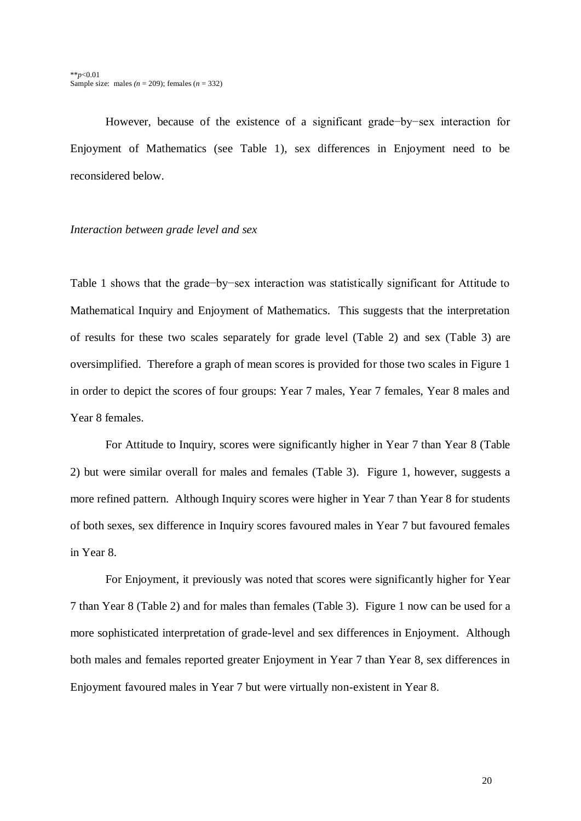However, because of the existence of a significant grade−by−sex interaction for Enjoyment of Mathematics (see Table 1), sex differences in Enjoyment need to be reconsidered below.

#### *Interaction between grade level and sex*

Table 1 shows that the grade−by−sex interaction was statistically significant for Attitude to Mathematical Inquiry and Enjoyment of Mathematics. This suggests that the interpretation of results for these two scales separately for grade level (Table 2) and sex (Table 3) are oversimplified. Therefore a graph of mean scores is provided for those two scales in Figure 1 in order to depict the scores of four groups: Year 7 males, Year 7 females, Year 8 males and Year 8 females.

For Attitude to Inquiry, scores were significantly higher in Year 7 than Year 8 (Table 2) but were similar overall for males and females (Table 3). Figure 1, however, suggests a more refined pattern. Although Inquiry scores were higher in Year 7 than Year 8 for students of both sexes, sex difference in Inquiry scores favoured males in Year 7 but favoured females in Year 8.

For Enjoyment, it previously was noted that scores were significantly higher for Year 7 than Year 8 (Table 2) and for males than females (Table 3). Figure 1 now can be used for a more sophisticated interpretation of grade-level and sex differences in Enjoyment. Although both males and females reported greater Enjoyment in Year 7 than Year 8, sex differences in Enjoyment favoured males in Year 7 but were virtually non-existent in Year 8.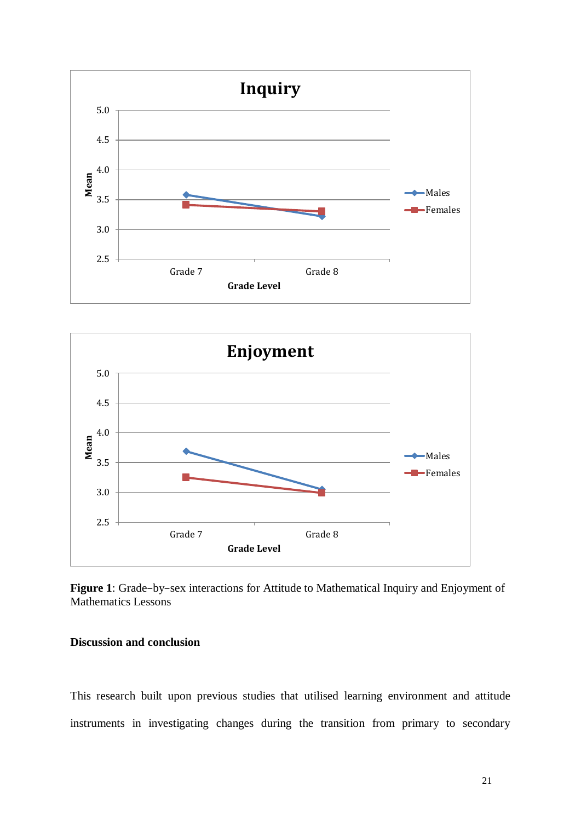



**Figure 1**: Grade−by−sex interactions for Attitude to Mathematical Inquiry and Enjoyment of Mathematics Lessons

# **Discussion and conclusion**

This research built upon previous studies that utilised learning environment and attitude instruments in investigating changes during the transition from primary to secondary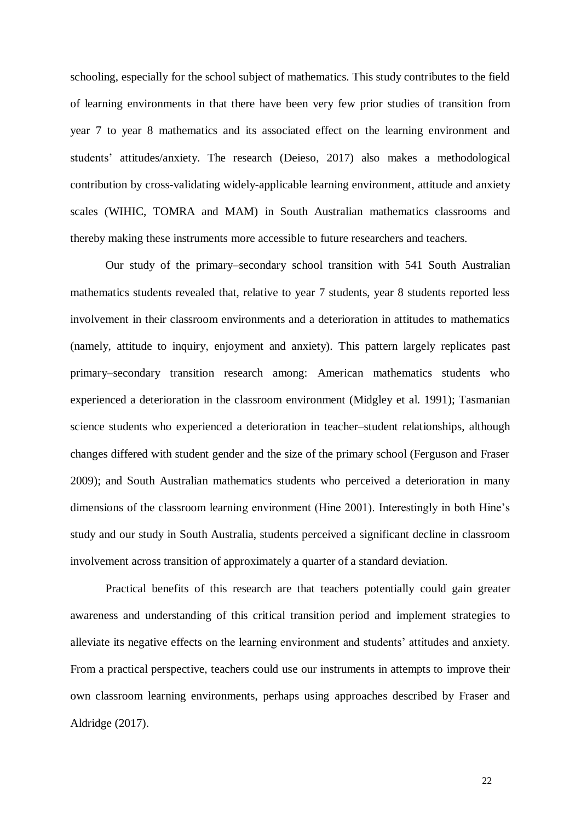schooling, especially for the school subject of mathematics. This study contributes to the field of learning environments in that there have been very few prior studies of transition from year 7 to year 8 mathematics and its associated effect on the learning environment and students' attitudes/anxiety. The research (Deieso, 2017) also makes a methodological contribution by cross-validating widely-applicable learning environment, attitude and anxiety scales (WIHIC, TOMRA and MAM) in South Australian mathematics classrooms and thereby making these instruments more accessible to future researchers and teachers.

Our study of the primary–secondary school transition with 541 South Australian mathematics students revealed that, relative to year 7 students, year 8 students reported less involvement in their classroom environments and a deterioration in attitudes to mathematics (namely, attitude to inquiry, enjoyment and anxiety). This pattern largely replicates past primary–secondary transition research among: American mathematics students who experienced a deterioration in the classroom environment (Midgley et al. 1991); Tasmanian science students who experienced a deterioration in teacher–student relationships, although changes differed with student gender and the size of the primary school (Ferguson and Fraser 2009); and South Australian mathematics students who perceived a deterioration in many dimensions of the classroom learning environment (Hine 2001). Interestingly in both Hine's study and our study in South Australia, students perceived a significant decline in classroom involvement across transition of approximately a quarter of a standard deviation.

Practical benefits of this research are that teachers potentially could gain greater awareness and understanding of this critical transition period and implement strategies to alleviate its negative effects on the learning environment and students' attitudes and anxiety. From a practical perspective, teachers could use our instruments in attempts to improve their own classroom learning environments, perhaps using approaches described by Fraser and Aldridge (2017).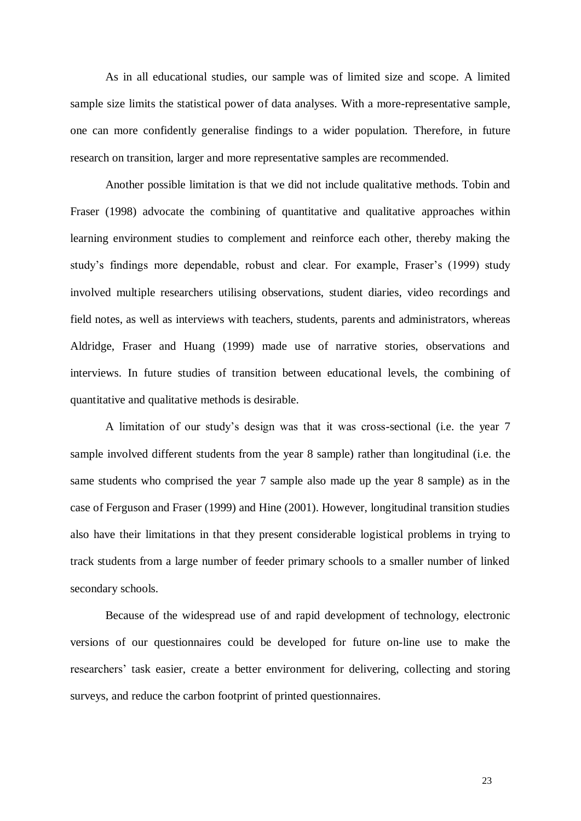As in all educational studies, our sample was of limited size and scope. A limited sample size limits the statistical power of data analyses. With a more-representative sample, one can more confidently generalise findings to a wider population. Therefore, in future research on transition, larger and more representative samples are recommended.

Another possible limitation is that we did not include qualitative methods. Tobin and Fraser (1998) advocate the combining of quantitative and qualitative approaches within learning environment studies to complement and reinforce each other, thereby making the study's findings more dependable, robust and clear. For example, Fraser's (1999) study involved multiple researchers utilising observations, student diaries, video recordings and field notes, as well as interviews with teachers, students, parents and administrators, whereas Aldridge, Fraser and Huang (1999) made use of narrative stories, observations and interviews. In future studies of transition between educational levels, the combining of quantitative and qualitative methods is desirable.

A limitation of our study's design was that it was cross-sectional (i.e. the year 7 sample involved different students from the year 8 sample) rather than longitudinal (i.e. the same students who comprised the year 7 sample also made up the year 8 sample) as in the case of Ferguson and Fraser (1999) and Hine (2001). However, longitudinal transition studies also have their limitations in that they present considerable logistical problems in trying to track students from a large number of feeder primary schools to a smaller number of linked secondary schools.

Because of the widespread use of and rapid development of technology, electronic versions of our questionnaires could be developed for future on-line use to make the researchers' task easier, create a better environment for delivering, collecting and storing surveys, and reduce the carbon footprint of printed questionnaires.

23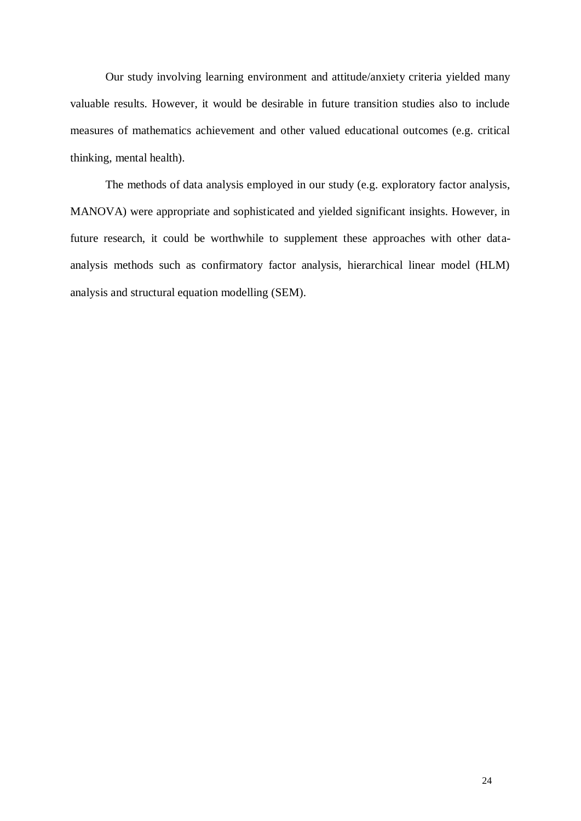Our study involving learning environment and attitude/anxiety criteria yielded many valuable results. However, it would be desirable in future transition studies also to include measures of mathematics achievement and other valued educational outcomes (e.g. critical thinking, mental health).

The methods of data analysis employed in our study (e.g. exploratory factor analysis, MANOVA) were appropriate and sophisticated and yielded significant insights. However, in future research, it could be worthwhile to supplement these approaches with other dataanalysis methods such as confirmatory factor analysis, hierarchical linear model (HLM) analysis and structural equation modelling (SEM).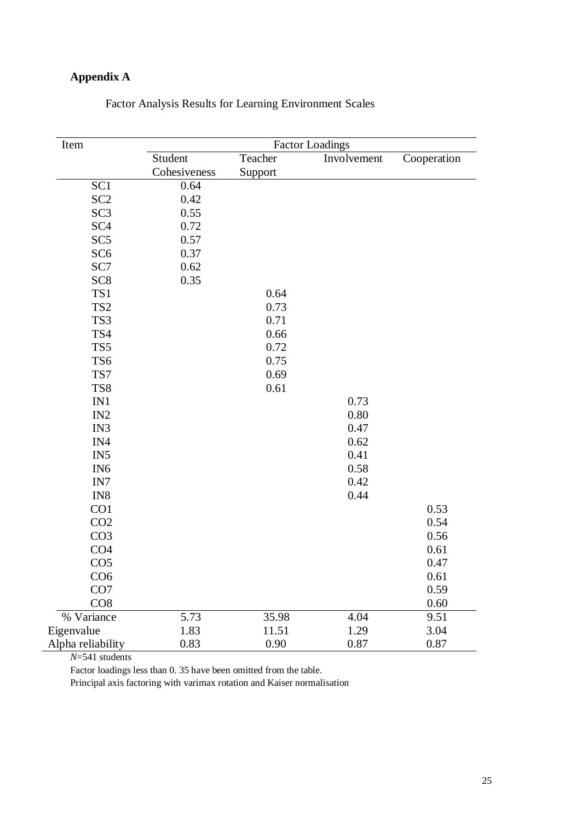# **Appendix A**

| Item              |              |         | <b>Factor Loadings</b> |             |
|-------------------|--------------|---------|------------------------|-------------|
|                   | Student      | Teacher | Involvement            | Cooperation |
|                   | Cohesiveness | Support |                        |             |
| SC <sub>1</sub>   | 0.64         |         |                        |             |
| SC <sub>2</sub>   | 0.42         |         |                        |             |
| SC <sub>3</sub>   | 0.55         |         |                        |             |
| SC <sub>4</sub>   | 0.72         |         |                        |             |
| SC <sub>5</sub>   | 0.57         |         |                        |             |
| SC <sub>6</sub>   | 0.37         |         |                        |             |
| SC7               | 0.62         |         |                        |             |
| SC <sub>8</sub>   | 0.35         |         |                        |             |
| TS1               |              | 0.64    |                        |             |
| TS <sub>2</sub>   |              | 0.73    |                        |             |
| TS3               |              | 0.71    |                        |             |
| TS4               |              | 0.66    |                        |             |
| TS5               |              | 0.72    |                        |             |
| TS6               |              | 0.75    |                        |             |
| TS7               |              | 0.69    |                        |             |
| TS8               |              | 0.61    |                        |             |
| IN1               |              |         | 0.73                   |             |
| IN <sub>2</sub>   |              |         | 0.80                   |             |
| IN3               |              |         | 0.47                   |             |
| IN4               |              |         | 0.62                   |             |
| IN <sub>5</sub>   |              |         | 0.41                   |             |
| IN <sub>6</sub>   |              |         | 0.58                   |             |
| IN7               |              |         | 0.42                   |             |
| IN <sub>8</sub>   |              |         | 0.44                   |             |
| CO1               |              |         |                        | 0.53        |
| CO <sub>2</sub>   |              |         |                        | 0.54        |
| CO <sub>3</sub>   |              |         |                        | 0.56        |
| CO <sub>4</sub>   |              |         |                        | 0.61        |
| CO <sub>5</sub>   |              |         |                        | 0.47        |
| CO <sub>6</sub>   |              |         |                        | 0.61        |
| CO <sub>7</sub>   |              |         |                        | 0.59        |
| CO8               |              |         |                        | 0.60        |
| % Variance        | 5.73         | 35.98   | 4.04                   | 9.51        |
| Eigenvalue        | 1.83         | 11.51   | 1.29                   | 3.04        |
| Alpha reliability | 0.83         | 0.90    | 0.87                   | 0.87        |

Factor Analysis Results for Learning Environment Scales

*N*=541 students

Factor loadings less than 0. 35 have been omitted from the table.

Principal axis factoring with varimax rotation and Kaiser normalisation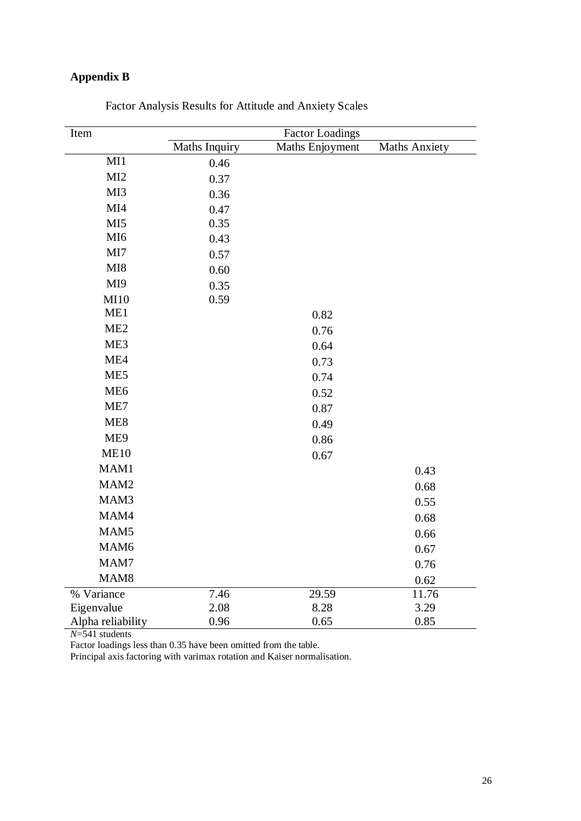# **Appendix B**

| Item              |                      | <b>Factor Loadings</b> |                      |
|-------------------|----------------------|------------------------|----------------------|
|                   | <b>Maths Inquiry</b> | Maths Enjoyment        | <b>Maths Anxiety</b> |
| MI                | 0.46                 |                        |                      |
| MI2               | 0.37                 |                        |                      |
| MI3               | 0.36                 |                        |                      |
| MI4               | 0.47                 |                        |                      |
| MI5               | 0.35                 |                        |                      |
| MI <sub>6</sub>   | 0.43                 |                        |                      |
| MI7               | 0.57                 |                        |                      |
| MI8               | 0.60                 |                        |                      |
| MI9               | 0.35                 |                        |                      |
| MI10              | 0.59                 |                        |                      |
| ME1               |                      | 0.82                   |                      |
| ME2               |                      | 0.76                   |                      |
| ME3               |                      | 0.64                   |                      |
| ME4               |                      | 0.73                   |                      |
| ME5               |                      | 0.74                   |                      |
| ME <sub>6</sub>   |                      | 0.52                   |                      |
| ME7               |                      | 0.87                   |                      |
| ME8               |                      | 0.49                   |                      |
| ME9               |                      | 0.86                   |                      |
| <b>ME10</b>       |                      | 0.67                   |                      |
| MAM1              |                      |                        | 0.43                 |
| MAM <sub>2</sub>  |                      |                        | 0.68                 |
| MAM3              |                      |                        | 0.55                 |
| MAM4              |                      |                        | 0.68                 |
| MAM <sub>5</sub>  |                      |                        | 0.66                 |
| MAM <sub>6</sub>  |                      |                        | 0.67                 |
| MAM7              |                      |                        | 0.76                 |
| MAM <sub>8</sub>  |                      |                        | 0.62                 |
| % Variance        | 7.46                 | 29.59                  | 11.76                |
| Eigenvalue        | 2.08                 | 8.28                   | 3.29                 |
| Alpha reliability | 0.96                 | 0.65                   | 0.85                 |

Factor Analysis Results for Attitude and Anxiety Scales

*N*=541 students

Factor loadings less than 0.35 have been omitted from the table.

Principal axis factoring with varimax rotation and Kaiser normalisation.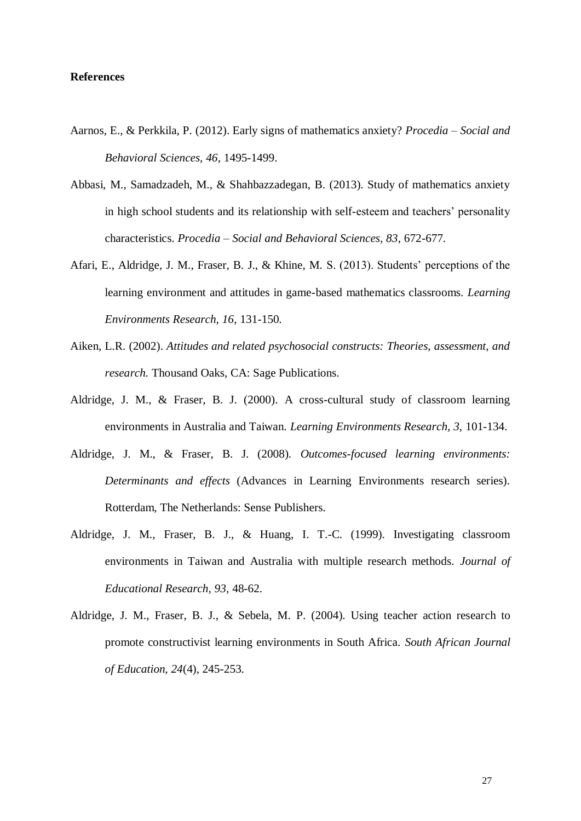# **References**

- Aarnos, E., & Perkkila, P. (2012). Early signs of mathematics anxiety? *Procedia – Social and Behavioral Sciences, 46*, 1495-1499.
- Abbasi, M., Samadzadeh, M., & Shahbazzadegan, B. (2013). Study of mathematics anxiety in high school students and its relationship with self-esteem and teachers' personality characteristics. *Procedia – Social and Behavioral Sciences, 83*, 672-677.
- Afari, E., Aldridge, J. M., Fraser, B. J., & Khine, M. S. (2013). Students' perceptions of the learning environment and attitudes in game-based mathematics classrooms. *Learning Environments Research, 16*, 131-150.
- Aiken, L.R. (2002). *Attitudes and related psychosocial constructs: Theories, assessment, and research.* Thousand Oaks, CA: Sage Publications.
- Aldridge, J. M., & Fraser, B. J. (2000). A cross-cultural study of classroom learning environments in Australia and Taiwan. *Learning Environments Research, 3,* 101-134.
- Aldridge, J. M., & Fraser, B. J. (2008). *Outcomes-focused learning environments: Determinants and effects* (Advances in Learning Environments research series). Rotterdam, The Netherlands: Sense Publishers.
- Aldridge, J. M., Fraser, B. J., & Huang, I. T.-C. (1999). Investigating classroom environments in Taiwan and Australia with multiple research methods. *Journal of Educational Research, 93,* 48-62.
- Aldridge, J. M., Fraser, B. J., & Sebela, M. P. (2004). Using teacher action research to promote constructivist learning environments in South Africa. *South African Journal of Education, 24*(4), 245-253.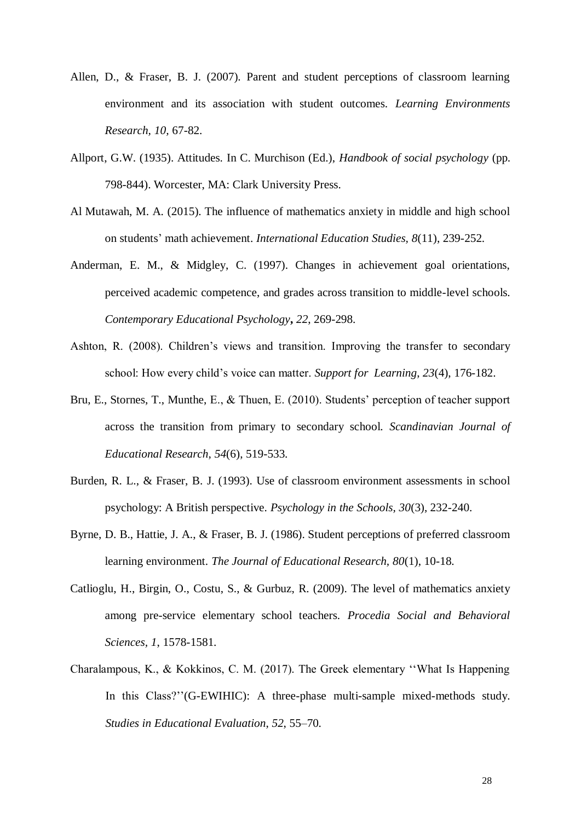- Allen, D., & Fraser, B. J. (2007). Parent and student perceptions of classroom learning environment and its association with student outcomes. *Learning Environments Research, 10,* 67-82.
- Allport, G.W. (1935). Attitudes. In C. Murchison (Ed.), *Handbook of social psychology* (pp. 798-844). Worcester, MA: Clark University Press.
- Al Mutawah, M. A. (2015). The influence of mathematics anxiety in middle and high school on students' math achievement. *International Education Studies, 8*(11), 239-252.
- Anderman, E. M., & Midgley, C. (1997). Changes in achievement goal orientations, perceived academic competence, and grades across transition to middle-level schools. *Contemporary Educational Psychology***,** *22*, 269-298.
- Ashton, R. (2008). Children's views and transition. Improving the transfer to secondary school: How every child's voice can matter. *Support for Learning*, *23*(4), 176-182.
- Bru, E., Stornes, T., Munthe, E., & Thuen, E. (2010). Students' perception of teacher support across the transition from primary to secondary school. *Scandinavian Journal of Educational Research*, *54*(6), 519-533.
- Burden, R. L., & Fraser, B. J. (1993). Use of classroom environment assessments in school psychology: A British perspective. *Psychology in the Schools, 30*(3), 232-240.
- Byrne, D. B., Hattie, J. A., & Fraser, B. J. (1986). Student perceptions of preferred classroom learning environment. *The Journal of Educational Research, 80*(1), 10-18.
- Catlioglu, H., Birgin, O., Costu, S., & Gurbuz, R. (2009). The level of mathematics anxiety among pre-service elementary school teachers. *Procedia Social and Behavioral Sciences, 1*, 1578-1581.
- Charalampous, K., & Kokkinos, C. M. (2017). The Greek elementary ''What Is Happening In this Class?''(G-EWIHIC): A three-phase multi-sample mixed-methods study. *Studies in Educational Evaluation*, *52*, 55–70.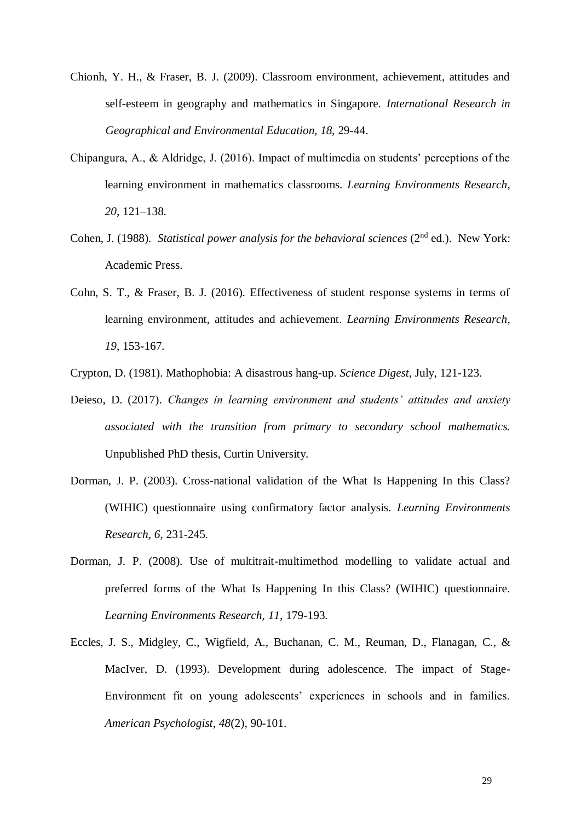- Chionh, Y. H., & Fraser, B. J. (2009). Classroom environment, achievement, attitudes and self-esteem in geography and mathematics in Singapore. *International Research in Geographical and Environmental Education, 18,* 29-44.
- Chipangura, A., & Aldridge, J. (2016). Impact of multimedia on students' perceptions of the learning environment in mathematics classrooms. *Learning Environments Research*, *20*, 121–138.
- Cohen, J. (1988). *Statistical power analysis for the behavioral sciences* (2<sup>nd</sup> ed.). New York: Academic Press.
- Cohn, S. T., & Fraser, B. J. (2016). Effectiveness of student response systems in terms of learning environment, attitudes and achievement. *Learning Environments Research*, *19*, 153-167.
- Crypton, D. (1981). Mathophobia: A disastrous hang-up. *Science Digest*, July, 121-123.
- Deieso, D. (2017). *Changes in learning environment and students' attitudes and anxiety associated with the transition from primary to secondary school mathematics.* Unpublished PhD thesis, Curtin University.
- Dorman, J. P. (2003). Cross-national validation of the What Is Happening In this Class? (WIHIC) questionnaire using confirmatory factor analysis. *Learning Environments Research, 6,* 231-245.
- Dorman, J. P. (2008). Use of multitrait-multimethod modelling to validate actual and preferred forms of the What Is Happening In this Class? (WIHIC) questionnaire. *Learning Environments Research*, *11*, 179-193.
- Eccles, J. S., Midgley, C., Wigfield, A., Buchanan, C. M., Reuman, D., Flanagan, C., & MacIver, D. (1993). Development during adolescence. The impact of Stage-Environment fit on young adolescents' experiences in schools and in families. *American Psychologist, 48*(2), 90-101.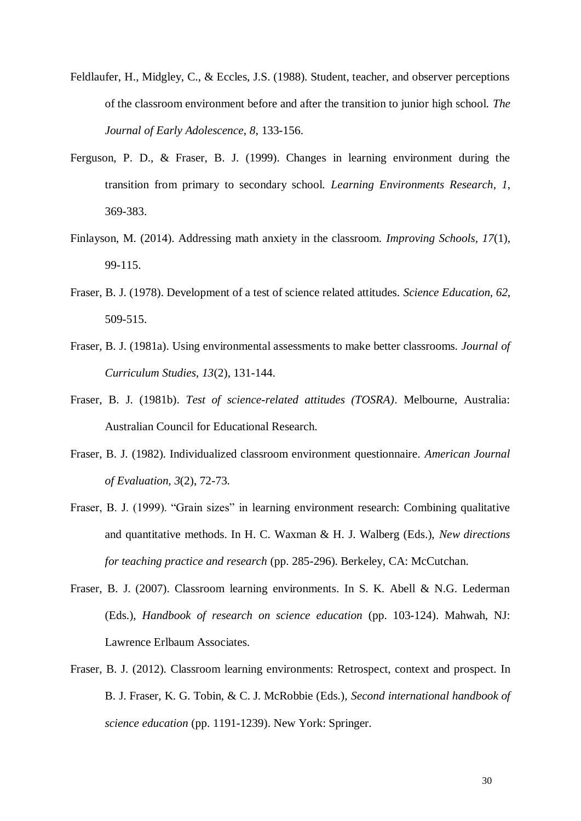- Feldlaufer, H., Midgley, C., & Eccles, J.S. (1988). Student, teacher, and observer perceptions of the classroom environment before and after the transition to junior high school. *The Journal of Early Adolescence*, *8*, 133-156.
- Ferguson, P. D., & Fraser, B. J. (1999). Changes in learning environment during the transition from primary to secondary school. *Learning Environments Research*, *1*, 369-383.
- Finlayson, M. (2014). Addressing math anxiety in the classroom. *Improving Schools, 17*(1), 99-115.
- Fraser, B. J. (1978). Development of a test of science related attitudes. *Science Education, 62*, 509-515.
- Fraser, B. J. (1981a). Using environmental assessments to make better classrooms. *Journal of Curriculum Studies, 13*(2), 131-144.
- Fraser, B. J. (1981b). *Test of science-related attitudes (TOSRA)*. Melbourne, Australia: Australian Council for Educational Research.
- Fraser, B. J. (1982). Individualized classroom environment questionnaire. *American Journal of Evaluation, 3*(2), 72-73.
- Fraser, B. J. (1999). "Grain sizes" in learning environment research: Combining qualitative and quantitative methods. In H. C. Waxman & H. J. Walberg (Eds.), *New directions for teaching practice and research* (pp. 285-296). Berkeley, CA: McCutchan.
- Fraser, B. J. (2007). Classroom learning environments. In S. K. Abell & N.G. Lederman (Eds.), *Handbook of research on science education* (pp. 103-124). Mahwah, NJ: Lawrence Erlbaum Associates.
- Fraser, B. J. (2012). Classroom learning environments: Retrospect, context and prospect. In B. J. Fraser, K. G. Tobin, & C. J. McRobbie (Eds.), *Second international handbook of science education* (pp. 1191-1239). New York: Springer.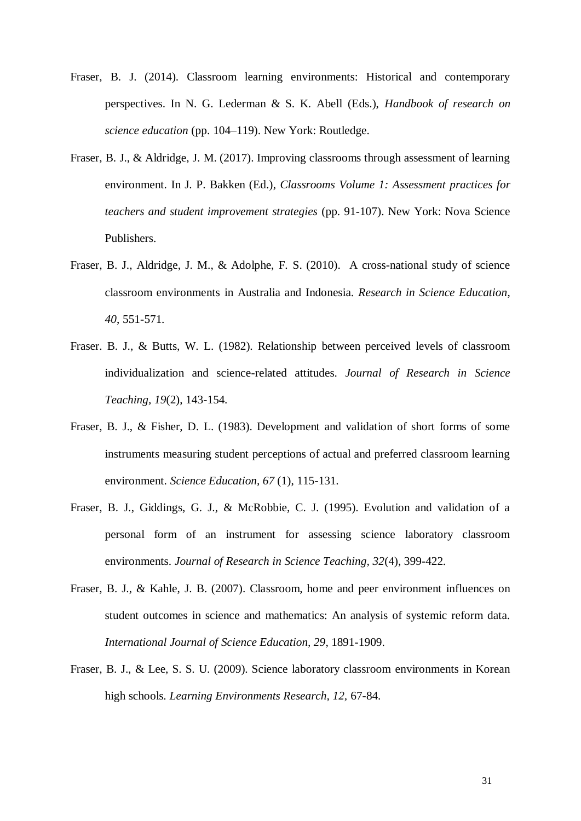- Fraser, B. J. (2014). Classroom learning environments: Historical and contemporary perspectives. In N. G. Lederman & S. K. Abell (Eds.), *Handbook of research on science education* (pp. 104–119). New York: Routledge.
- Fraser, B. J., & Aldridge, J. M. (2017). Improving classrooms through assessment of learning environment. In J. P. Bakken (Ed.), *Classrooms Volume 1: Assessment practices for teachers and student improvement strategies* (pp. 91-107). New York: Nova Science Publishers.
- Fraser, B. J., Aldridge, J. M., & Adolphe, F. S. (2010). A cross-national study of science classroom environments in Australia and Indonesia. *Research in Science Education*, *40*, 551-571.
- Fraser. B. J., & Butts, W. L. (1982). Relationship between perceived levels of classroom individualization and science-related attitudes. *Journal of Research in Science Teaching, 19*(2), 143-154.
- Fraser, B. J., & Fisher, D. L. (1983). Development and validation of short forms of some instruments measuring student perceptions of actual and preferred classroom learning environment. *Science Education, 67* (1), 115-131.
- Fraser, B. J., Giddings, G. J., & McRobbie, C. J. (1995). Evolution and validation of a personal form of an instrument for assessing science laboratory classroom environments. *Journal of Research in Science Teaching, 32*(4), 399-422.
- Fraser, B. J., & Kahle, J. B. (2007). Classroom, home and peer environment influences on student outcomes in science and mathematics: An analysis of systemic reform data. *International Journal of Science Education, 29*, 1891-1909.
- Fraser, B. J., & Lee, S. S. U. (2009). Science laboratory classroom environments in Korean high schools. *Learning Environments Research, 12,* 67-84.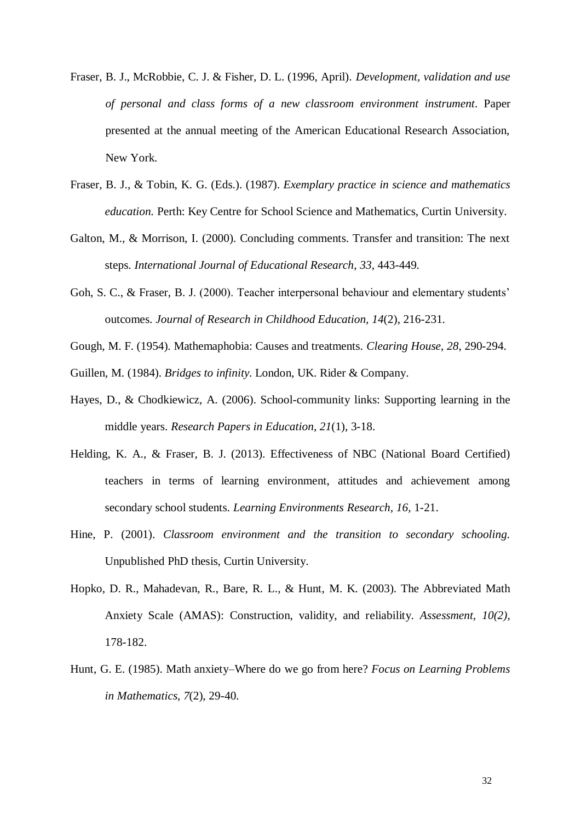- Fraser, B. J., McRobbie, C. J. & Fisher, D. L. (1996, April). *Development, validation and use of personal and class forms of a new classroom environment instrument*. Paper presented at the annual meeting of the American Educational Research Association, New York.
- Fraser, B. J., & Tobin, K. G. (Eds.). (1987). *Exemplary practice in science and mathematics education.* Perth: Key Centre for School Science and Mathematics, Curtin University.
- Galton, M., & Morrison, I. (2000). Concluding comments. Transfer and transition: The next steps. *International Journal of Educational Research*, *33*, 443-449.
- Goh, S. C., & Fraser, B. J. (2000). Teacher interpersonal behaviour and elementary students' outcomes. *Journal of Research in Childhood Education, 14*(2), 216-231.
- Gough, M. F. (1954). Mathemaphobia: Causes and treatments. *Clearing House*, *28*, 290-294.
- Guillen, M. (1984). *Bridges to infinity*. London, UK. Rider & Company.
- Hayes, D., & Chodkiewicz, A. (2006). School-community links: Supporting learning in the middle years. *Research Papers in Education*, *21*(1), 3-18.
- Helding, K. A., & Fraser, B. J. (2013). Effectiveness of NBC (National Board Certified) teachers in terms of learning environment, attitudes and achievement among secondary school students. *Learning Environments Research, 16,* 1-21.
- Hine, P. (2001). *Classroom environment and the transition to secondary schooling.*  Unpublished PhD thesis, Curtin University.
- Hopko, D. R., Mahadevan, R., Bare, R. L., & Hunt, M. K. (2003). The Abbreviated Math Anxiety Scale (AMAS): Construction, validity, and reliability. *Assessment, 10(2),* 178-182.
- Hunt, G. E. (1985). Math anxiety–Where do we go from here? *Focus on Learning Problems in Mathematics*, *7*(2), 29-40.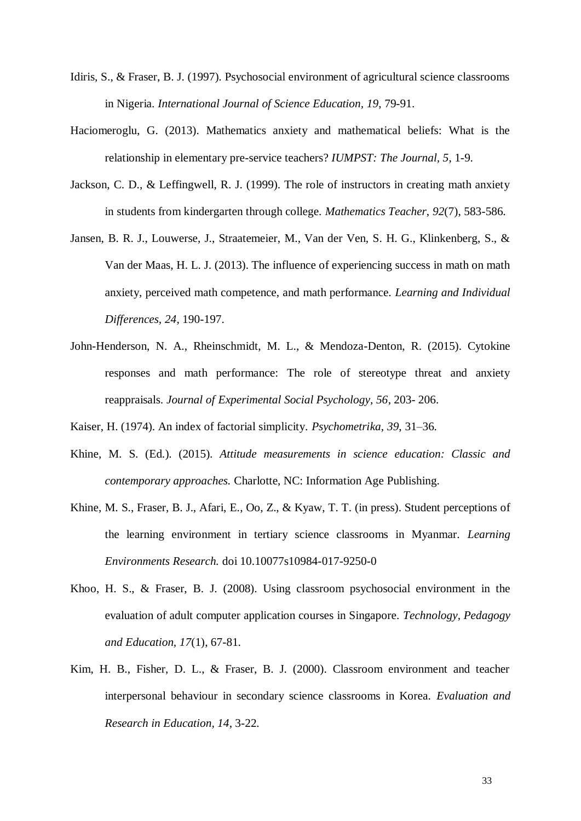- Idiris, S., & Fraser, B. J. (1997). Psychosocial environment of agricultural science classrooms in Nigeria. *International Journal of Science Education, 19*, 79-91.
- Haciomeroglu, G. (2013). Mathematics anxiety and mathematical beliefs: What is the relationship in elementary pre-service teachers? *IUMPST: The Journal, 5*, 1-9.
- Jackson, C. D., & Leffingwell, R. J. (1999). The role of instructors in creating math anxiety in students from kindergarten through college. *Mathematics Teacher*, *92*(7), 583-586.
- Jansen, B. R. J., Louwerse, J., Straatemeier, M., Van der Ven, S. H. G., Klinkenberg, S., & Van der Maas, H. L. J. (2013). The influence of experiencing success in math on math anxiety, perceived math competence, and math performance. *Learning and Individual Differences, 24*, 190-197.
- John-Henderson, N. A., Rheinschmidt, M. L., & Mendoza-Denton, R. (2015). Cytokine responses and math performance: The role of stereotype threat and anxiety reappraisals. *Journal of Experimental Social Psychology, 56*, 203- 206.
- Kaiser, H. (1974). An index of factorial simplicity. *Psychometrika*, *39*, 31–36.
- Khine, M. S. (Ed.). (2015). *Attitude measurements in science education: Classic and contemporary approaches.* Charlotte, NC: Information Age Publishing.
- Khine, M. S., Fraser, B. J., Afari, E., Oo, Z., & Kyaw, T. T. (in press). Student perceptions of the learning environment in tertiary science classrooms in Myanmar. *Learning Environments Research.* doi 10.10077s10984-017-9250-0
- Khoo, H. S., & Fraser, B. J. (2008). Using classroom psychosocial environment in the evaluation of adult computer application courses in Singapore. *Technology, Pedagogy and Education, 17*(1), 67-81.
- Kim, H. B., Fisher, D. L., & Fraser, B. J. (2000). Classroom environment and teacher interpersonal behaviour in secondary science classrooms in Korea. *Evaluation and Research in Education, 14*, 3-22.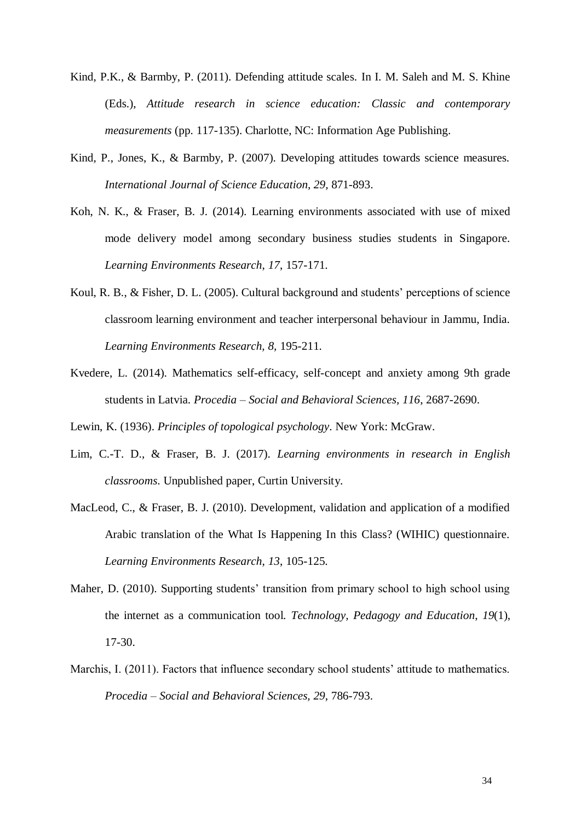- Kind, P.K., & Barmby, P. (2011). Defending attitude scales. In I. M. Saleh and M. S. Khine (Eds.), *Attitude research in science education: Classic and contemporary measurements* (pp. 117-135). Charlotte, NC: Information Age Publishing.
- Kind, P., Jones, K., & Barmby, P. (2007). Developing attitudes towards science measures. *International Journal of Science Education, 29,* 871-893.
- Koh, N. K., & Fraser, B. J. (2014). Learning environments associated with use of mixed mode delivery model among secondary business studies students in Singapore. *Learning Environments Research*, *17*, 157-171.
- Koul, R. B., & Fisher, D. L. (2005). Cultural background and students' perceptions of science classroom learning environment and teacher interpersonal behaviour in Jammu, India. *Learning Environments Research, 8,* 195-211.
- Kvedere, L. (2014). Mathematics self-efficacy, self-concept and anxiety among 9th grade students in Latvia. *Procedia – Social and Behavioral Sciences, 116*, 2687-2690.
- Lewin, K. (1936). *Principles of topological psychology*. New York: McGraw.
- Lim, C.-T. D., & Fraser, B. J. (2017). *Learning environments in research in English classrooms*. Unpublished paper, Curtin University.
- MacLeod, C., & Fraser, B. J. (2010). Development, validation and application of a modified Arabic translation of the What Is Happening In this Class? (WIHIC) questionnaire. *Learning Environments Research*, *13*, 105-125.
- Maher, D. (2010). Supporting students' transition from primary school to high school using the internet as a communication tool. *Technology, Pedagogy and Education*, *19*(1), 17-30.
- Marchis, I. (2011). Factors that influence secondary school students' attitude to mathematics. *Procedia – Social and Behavioral Sciences, 29*, 786-793.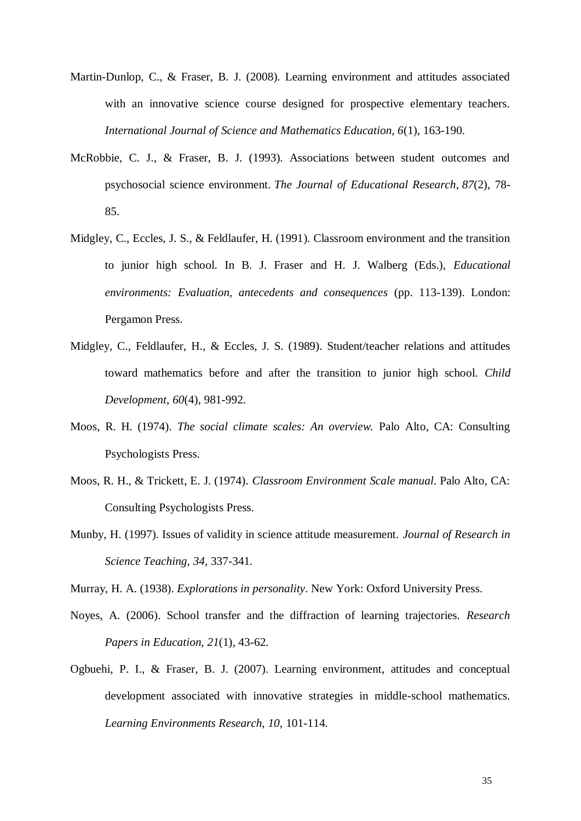- Martin-Dunlop, C., & Fraser, B. J. (2008). Learning environment and attitudes associated with an innovative science course designed for prospective elementary teachers. *International Journal of Science and Mathematics Education, 6*(1), 163-190.
- McRobbie, C. J., & Fraser, B. J. (1993). Associations between student outcomes and psychosocial science environment. *The Journal of Educational Research*, *87*(2), 78- 85.
- Midgley, C., Eccles, J. S., & Feldlaufer, H. (1991). Classroom environment and the transition to junior high school. In B. J. Fraser and H. J. Walberg (Eds.), *Educational environments: Evaluation, antecedents and consequences* (pp. 113-139). London: Pergamon Press.
- Midgley, C., Feldlaufer, H., & Eccles, J. S. (1989). Student/teacher relations and attitudes toward mathematics before and after the transition to junior high school. *Child Development*, *60*(4), 981-992.
- Moos, R. H. (1974). *The social climate scales: An overview.* Palo Alto, CA: Consulting Psychologists Press.
- Moos, R. H., & Trickett, E. J. (1974). *Classroom Environment Scale manual*. Palo Alto, CA: Consulting Psychologists Press.
- Munby, H. (1997). Issues of validity in science attitude measurement. *Journal of Research in Science Teaching, 34,* 337-341.

Murray, H. A. (1938). *Explorations in personality*. New York: Oxford University Press.

- Noyes, A. (2006). School transfer and the diffraction of learning trajectories. *Research Papers in Education*, *21*(1), 43-62.
- Ogbuehi, P. I., & Fraser, B. J. (2007). Learning environment, attitudes and conceptual development associated with innovative strategies in middle-school mathematics. *Learning Environments Research, 10,* 101-114.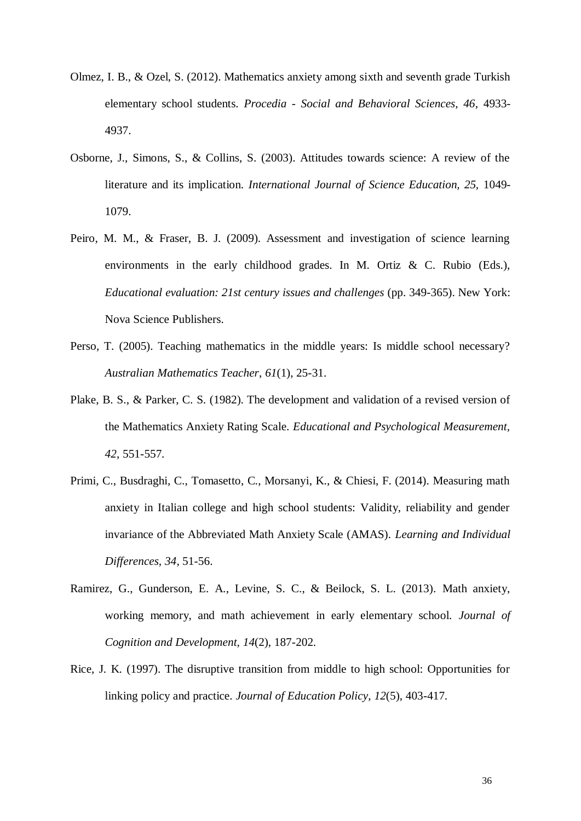- Olmez, I. B., & Ozel, S. (2012). Mathematics anxiety among sixth and seventh grade Turkish elementary school students. *Procedia - Social and Behavioral Sciences, 46*, 4933- 4937.
- Osborne, J., Simons, S., & Collins, S. (2003). Attitudes towards science: A review of the literature and its implication. *International Journal of Science Education, 25,* 1049- 1079.
- Peiro, M. M., & Fraser, B. J. (2009). Assessment and investigation of science learning environments in the early childhood grades. In M. Ortiz & C. Rubio (Eds.), *Educational evaluation: 21st century issues and challenges* (pp. 349-365). New York: Nova Science Publishers.
- Perso, T. (2005). Teaching mathematics in the middle years: Is middle school necessary? *Australian Mathematics Teacher*, *61*(1), 25-31.
- Plake, B. S., & Parker, C. S. (1982). The development and validation of a revised version of the Mathematics Anxiety Rating Scale. *Educational and Psychological Measurement, 42*, 551-557.
- Primi, C., Busdraghi, C., Tomasetto, C., Morsanyi, K., & Chiesi, F. (2014). Measuring math anxiety in Italian college and high school students: Validity, reliability and gender invariance of the Abbreviated Math Anxiety Scale (AMAS). *Learning and Individual Differences, 34*, 51-56.
- Ramirez, G., Gunderson, E. A., Levine, S. C., & Beilock, S. L. (2013). Math anxiety, working memory, and math achievement in early elementary school. *Journal of Cognition and Development, 14*(2), 187-202.
- Rice, J. K. (1997). The disruptive transition from middle to high school: Opportunities for linking policy and practice. *Journal of Education Policy*, *12*(5), 403-417.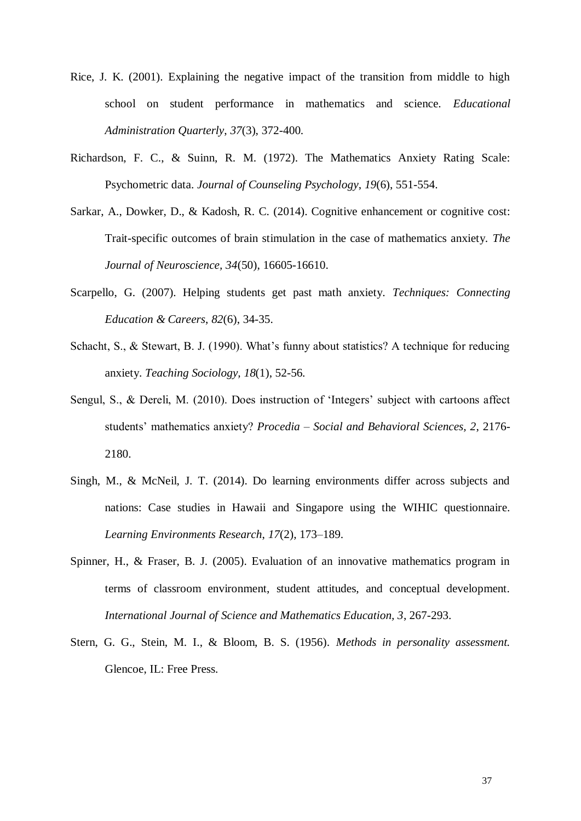- Rice, J. K. (2001). Explaining the negative impact of the transition from middle to high school on student performance in mathematics and science. *Educational Administration Quarterly*, *37*(3), 372-400.
- Richardson, F. C., & Suinn, R. M. (1972). The Mathematics Anxiety Rating Scale: Psychometric data. *Journal of Counseling Psychology*, *19*(6), 551-554.
- Sarkar, A., Dowker, D., & Kadosh, R. C. (2014). Cognitive enhancement or cognitive cost: Trait-specific outcomes of brain stimulation in the case of mathematics anxiety. *The Journal of Neuroscience, 34*(50), 16605-16610.
- Scarpello, G. (2007). Helping students get past math anxiety. *Techniques: Connecting Education & Careers*, *82*(6), 34-35.
- Schacht, S., & Stewart, B. J. (1990). What's funny about statistics? A technique for reducing anxiety. *Teaching Sociology, 18*(1), 52-56.
- Sengul, S., & Dereli, M. (2010). Does instruction of 'Integers' subject with cartoons affect students' mathematics anxiety? *Procedia – Social and Behavioral Sciences, 2*, 2176- 2180.
- Singh, M., & McNeil, J. T. (2014). Do learning environments differ across subjects and nations: Case studies in Hawaii and Singapore using the WIHIC questionnaire. *Learning Environments Research*, *17*(2), 173–189.
- Spinner, H., & Fraser, B. J. (2005). Evaluation of an innovative mathematics program in terms of classroom environment, student attitudes, and conceptual development. *International Journal of Science and Mathematics Education, 3*, 267-293.
- Stern, G. G., Stein, M. I., & Bloom, B. S. (1956). *Methods in personality assessment.* Glencoe, IL: Free Press.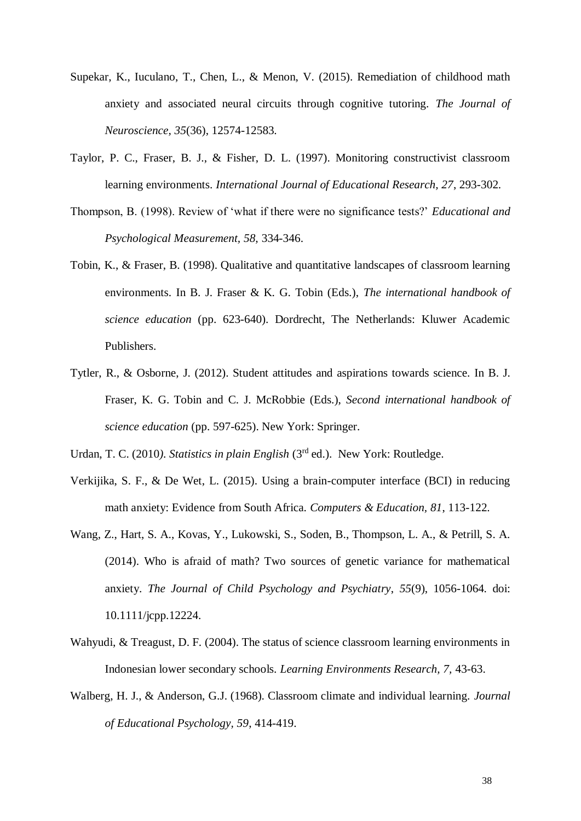- Supekar, K., Iuculano, T., Chen, L., & Menon, V. (2015). Remediation of childhood math anxiety and associated neural circuits through cognitive tutoring. *The Journal of Neuroscience, 35*(36), 12574-12583.
- Taylor, P. C., Fraser, B. J., & Fisher, D. L. (1997). Monitoring constructivist classroom learning environments. *International Journal of Educational Research, 27*, 293-302.
- Thompson, B. (1998). Review of 'what if there were no significance tests?' *Educational and Psychological Measurement, 58,* 334-346.
- Tobin, K., & Fraser, B. (1998). Qualitative and quantitative landscapes of classroom learning environments. In B. J. Fraser & K. G. Tobin (Eds.), *The international handbook of science education* (pp. 623-640). Dordrecht, The Netherlands: Kluwer Academic Publishers.
- Tytler, R., & Osborne, J. (2012). Student attitudes and aspirations towards science. In B. J. Fraser, K. G. Tobin and C. J. McRobbie (Eds.), *Second international handbook of science education* (pp. 597-625). New York: Springer.

Urdan, T. C. (2010*). Statistics in plain English* (3rd ed.). New York: Routledge.

- Verkijika, S. F., & De Wet, L. (2015). Using a brain-computer interface (BCI) in reducing math anxiety: Evidence from South Africa. *Computers & Education, 81*, 113-122.
- Wang, Z., Hart, S. A., Kovas, Y., Lukowski, S., Soden, B., Thompson, L. A., & Petrill, S. A. (2014). Who is afraid of math? Two sources of genetic variance for mathematical anxiety. *The Journal of Child Psychology and Psychiatry*, *55*(9), 1056-1064. doi: 10.1111/jcpp.12224.
- Wahyudi, & Treagust, D. F. (2004). The status of science classroom learning environments in Indonesian lower secondary schools. *Learning Environments Research, 7,* 43-63.
- Walberg, H. J., & Anderson, G.J. (1968). Classroom climate and individual learning. *Journal of Educational Psychology, 59*, 414-419.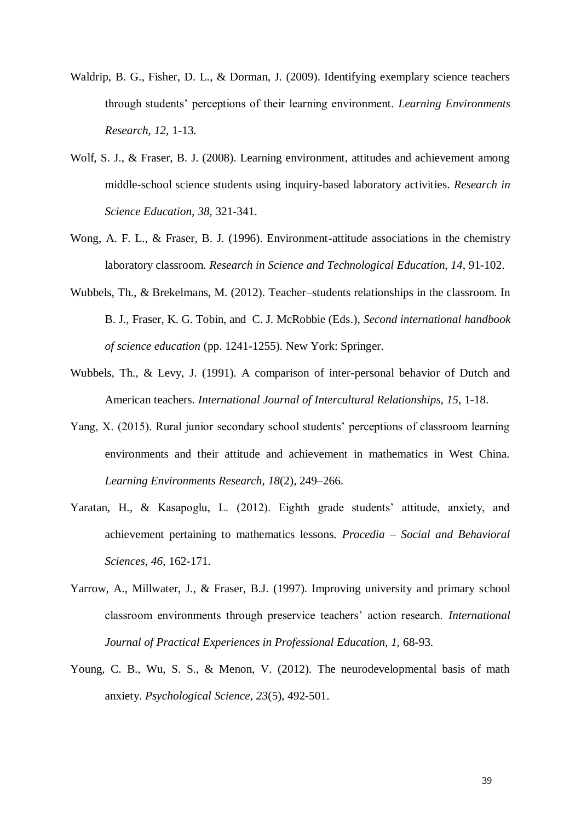- Waldrip, B. G., Fisher, D. L., & Dorman, J. (2009). Identifying exemplary science teachers through students' perceptions of their learning environment. *Learning Environments Research, 12,* 1-13.
- Wolf, S. J., & Fraser, B. J. (2008). Learning environment, attitudes and achievement among middle-school science students using inquiry-based laboratory activities. *Research in Science Education, 38*, 321-341.
- Wong, A. F. L., & Fraser, B. J. (1996). Environment-attitude associations in the chemistry laboratory classroom. *Research in Science and Technological Education, 14*, 91-102.
- Wubbels, Th., & Brekelmans, M. (2012). Teacher–students relationships in the classroom. In B. J., Fraser, K. G. Tobin, and C. J. McRobbie (Eds.), *Second international handbook of science education* (pp. 1241-1255). New York: Springer.
- Wubbels, Th., & Levy, J. (1991). A comparison of inter-personal behavior of Dutch and American teachers. *International Journal of Intercultural Relationships, 15*, 1-18.
- Yang, X. (2015). Rural junior secondary school students' perceptions of classroom learning environments and their attitude and achievement in mathematics in West China. *Learning Environments Research*, *18*(2), 249–266.
- Yaratan, H., & Kasapoglu, L. (2012). Eighth grade students' attitude, anxiety, and achievement pertaining to mathematics lessons. *Procedia – Social and Behavioral Sciences, 46*, 162-171.
- Yarrow, A., Millwater, J., & Fraser, B.J. (1997). Improving university and primary school classroom environments through preservice teachers' action research. *International Journal of Practical Experiences in Professional Education, 1,* 68-93.
- Young, C. B., Wu, S. S., & Menon, V. (2012). The neurodevelopmental basis of math anxiety. *Psychological Science, 23*(5), 492-501.